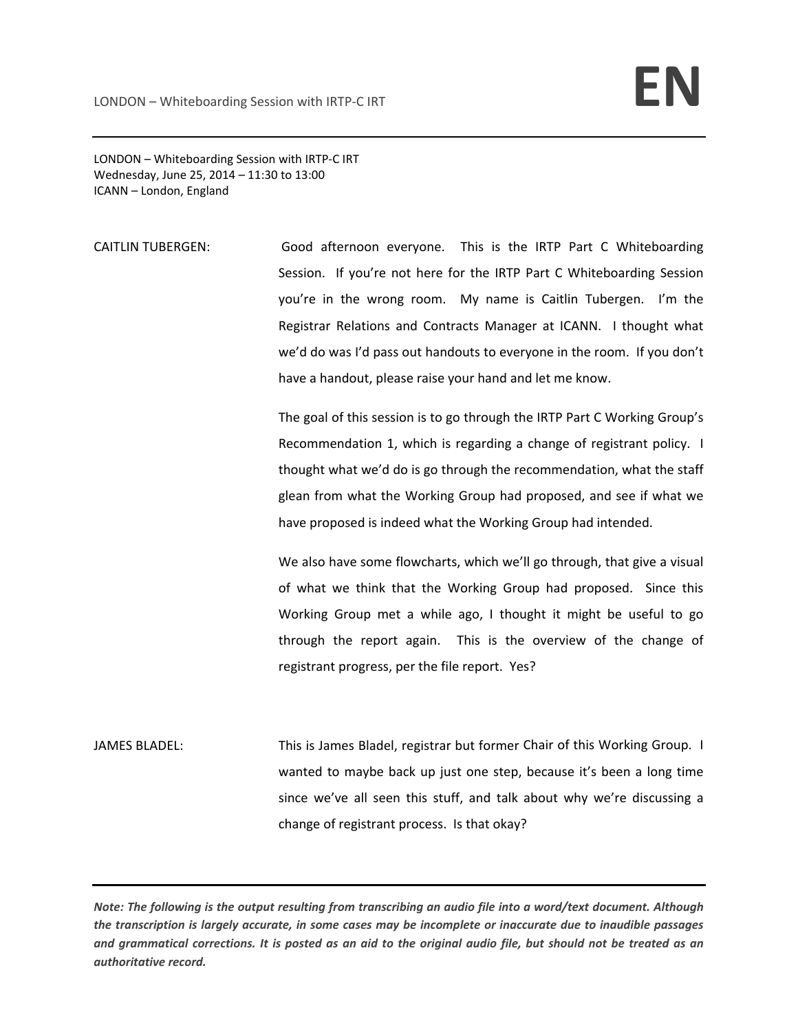LONDON – Whiteboarding Session with IRTP‐C IRT Wednesday, June 25, 2014 – 11:30 to 13:00 ICANN – London, England

CAITLIN TUBERGEN: Good afternoon everyone. This is the IRTP Part C Whiteboarding Session. If you're not here for the IRTP Part C Whiteboarding Session you're in the wrong room. My name is Caitlin Tubergen. I'm the Registrar Relations and Contracts Manager at ICANN. I thought what we'd do was I'd pass out handouts to everyone in the room. If you don't have a handout, please raise your hand and let me know.

> The goal of this session is to go through the IRTP Part C Working Group's Recommendation 1, which is regarding a change of registrant policy. I thought what we'd do is go through the recommendation, what the staff glean from what the Working Group had proposed, and see if what we have proposed is indeed what the Working Group had intended.

> We also have some flowcharts, which we'll go through, that give a visual of what we think that the Working Group had proposed. Since this Working Group met a while ago, I thought it might be useful to go through the report again. This is the overview of the change of registrant progress, per the file report. Yes?

JAMES BLADEL: This is James Bladel, registrar but former Chair of this Working Group. I wanted to maybe back up just one step, because it's been a long time since we've all seen this stuff, and talk about why we're discussing a change of registrant process. Is that okay?

Note: The following is the output resulting from transcribing an audio file into a word/text document. Although the transcription is largely accurate, in some cases may be incomplete or inaccurate due to inaudible passages and grammatical corrections. It is posted as an aid to the original audio file, but should not be treated as an *authoritative record.*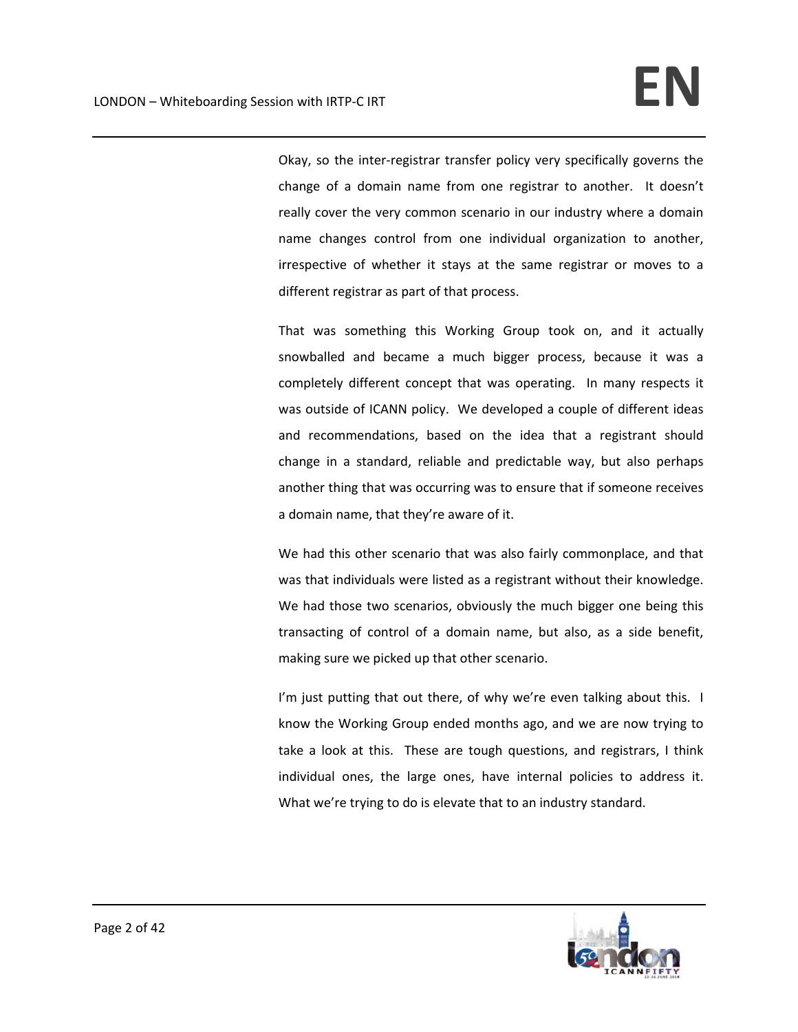Okay, so the inter‐registrar transfer policy very specifically governs the change of a domain name from one registrar to another. It doesn't really cover the very common scenario in our industry where a domain name changes control from one individual organization to another, irrespective of whether it stays at the same registrar or moves to a different registrar as part of that process.

That was something this Working Group took on, and it actually snowballed and became a much bigger process, because it was a completely different concept that was operating. In many respects it was outside of ICANN policy. We developed a couple of different ideas and recommendations, based on the idea that a registrant should change in a standard, reliable and predictable way, but also perhaps another thing that was occurring was to ensure that if someone receives a domain name, that they're aware of it.

We had this other scenario that was also fairly commonplace, and that was that individuals were listed as a registrant without their knowledge. We had those two scenarios, obviously the much bigger one being this transacting of control of a domain name, but also, as a side benefit, making sure we picked up that other scenario.

I'm just putting that out there, of why we're even talking about this. I know the Working Group ended months ago, and we are now trying to take a look at this. These are tough questions, and registrars, I think individual ones, the large ones, have internal policies to address it. What we're trying to do is elevate that to an industry standard.

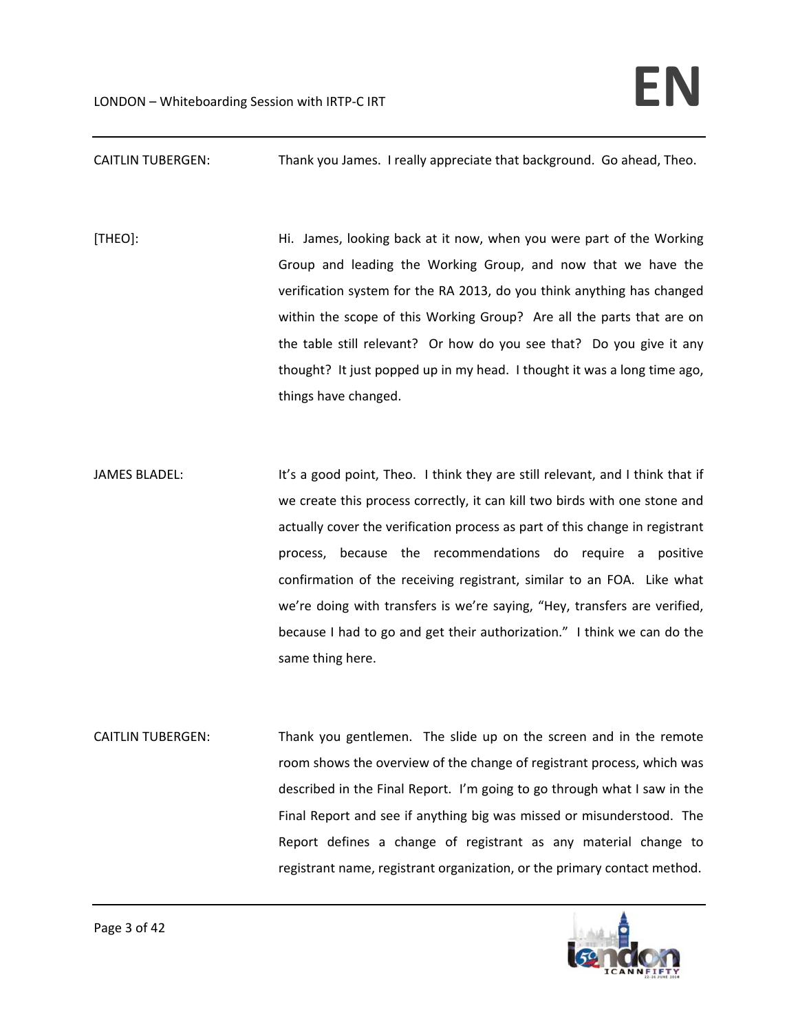## CAITLIN TUBERGEN: Thank you James. I really appreciate that background. Go ahead, Theo.

[THEO]: Hi. James, looking back at it now, when you were part of the Working Group and leading the Working Group, and now that we have the verification system for the RA 2013, do you think anything has changed within the scope of this Working Group? Are all the parts that are on the table still relevant? Or how do you see that? Do you give it any thought? It just popped up in my head. I thought it was a long time ago, things have changed.

JAMES BLADEL: It's a good point, Theo. I think they are still relevant, and I think that if we create this process correctly, it can kill two birds with one stone and actually cover the verification process as part of this change in registrant process, because the recommendations do require a positive confirmation of the receiving registrant, similar to an FOA. Like what we're doing with transfers is we're saying, "Hey, transfers are verified, because I had to go and get their authorization." I think we can do the same thing here.

CAITLIN TUBERGEN: Thank you gentlemen. The slide up on the screen and in the remote room shows the overview of the change of registrant process, which was described in the Final Report. I'm going to go through what I saw in the Final Report and see if anything big was missed or misunderstood. The Report defines a change of registrant as any material change to registrant name, registrant organization, or the primary contact method.

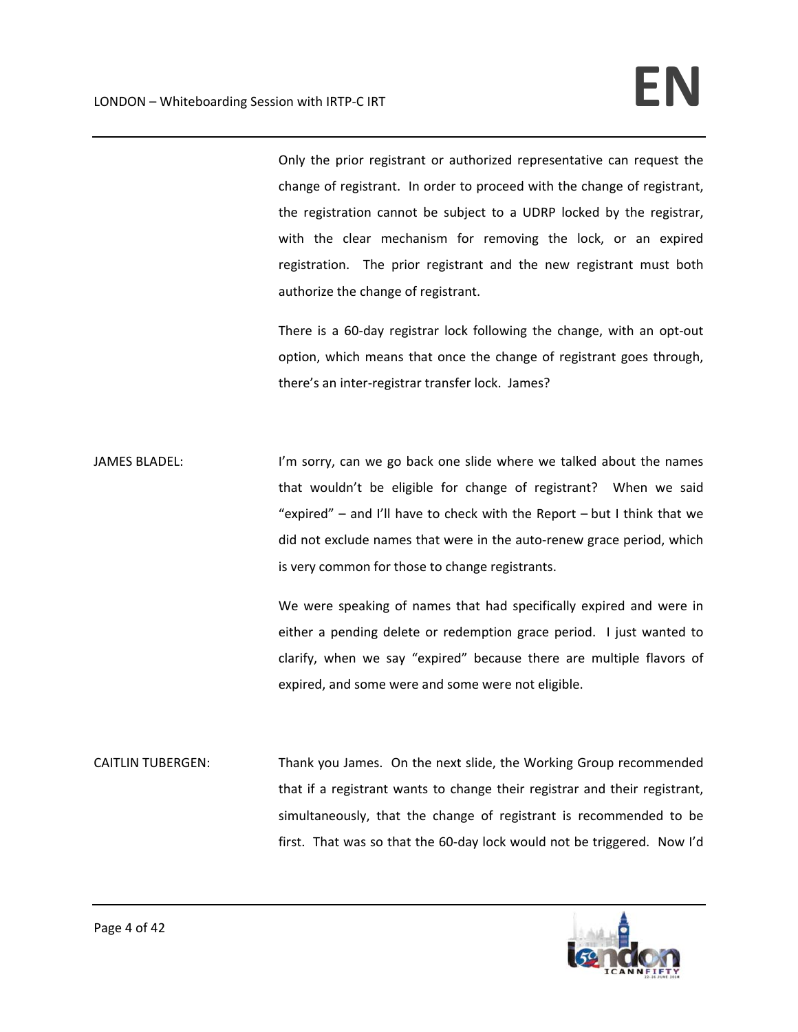Only the prior registrant or authorized representative can request the change of registrant. In order to proceed with the change of registrant, the registration cannot be subject to a UDRP locked by the registrar, with the clear mechanism for removing the lock, or an expired registration. The prior registrant and the new registrant must both authorize the change of registrant.

There is a 60‐day registrar lock following the change, with an opt‐out option, which means that once the change of registrant goes through, there's an inter‐registrar transfer lock. James?

JAMES BLADEL: I'm sorry, can we go back one slide where we talked about the names that wouldn't be eligible for change of registrant? When we said "expired" – and I'll have to check with the Report – but I think that we did not exclude names that were in the auto‐renew grace period, which is very common for those to change registrants.

> We were speaking of names that had specifically expired and were in either a pending delete or redemption grace period. I just wanted to clarify, when we say "expired" because there are multiple flavors of expired, and some were and some were not eligible.

CAITLIN TUBERGEN: Thank you James. On the next slide, the Working Group recommended that if a registrant wants to change their registrar and their registrant, simultaneously, that the change of registrant is recommended to be first. That was so that the 60‐day lock would not be triggered. Now I'd

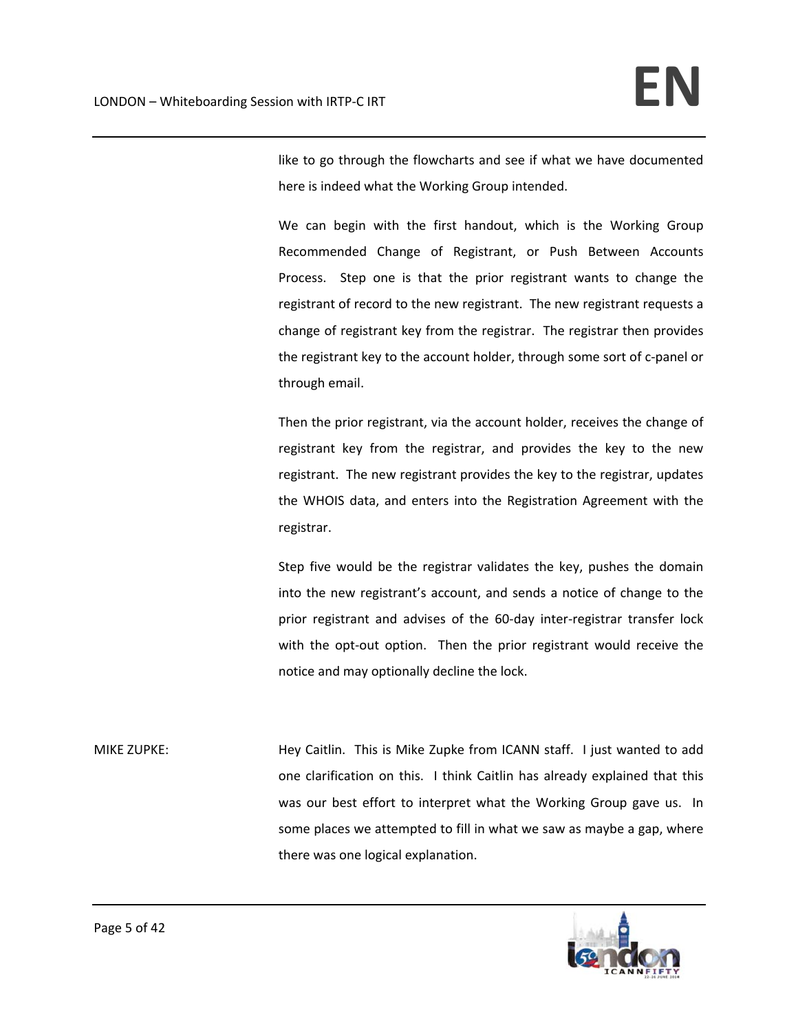like to go through the flowcharts and see if what we have documented here is indeed what the Working Group intended.

We can begin with the first handout, which is the Working Group Recommended Change of Registrant, or Push Between Accounts Process. Step one is that the prior registrant wants to change the registrant of record to the new registrant. The new registrant requests a change of registrant key from the registrar. The registrar then provides the registrant key to the account holder, through some sort of c‐panel or through email.

Then the prior registrant, via the account holder, receives the change of registrant key from the registrar, and provides the key to the new registrant. The new registrant provides the key to the registrar, updates the WHOIS data, and enters into the Registration Agreement with the registrar.

Step five would be the registrar validates the key, pushes the domain into the new registrant's account, and sends a notice of change to the prior registrant and advises of the 60‐day inter‐registrar transfer lock with the opt-out option. Then the prior registrant would receive the notice and may optionally decline the lock.

MIKE ZUPKE: Hey Caitlin. This is Mike Zupke from ICANN staff. I just wanted to add one clarification on this. I think Caitlin has already explained that this was our best effort to interpret what the Working Group gave us. In some places we attempted to fill in what we saw as maybe a gap, where there was one logical explanation.

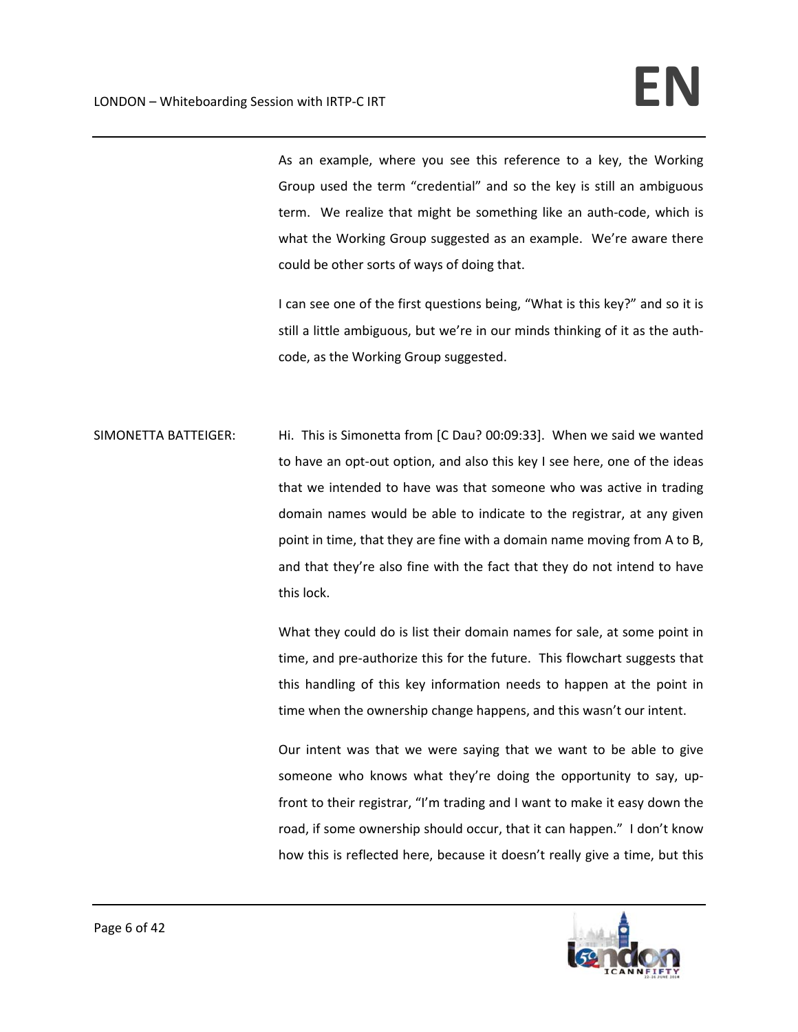As an example, where you see this reference to a key, the Working Group used the term "credential" and so the key is still an ambiguous term. We realize that might be something like an auth‐code, which is what the Working Group suggested as an example. We're aware there could be other sorts of ways of doing that.

I can see one of the first questions being, "What is this key?" and so it is still a little ambiguous, but we're in our minds thinking of it as the auth‐ code, as the Working Group suggested.

SIMONETTA BATTEIGER: Hi. This is Simonetta from [C Dau? 00:09:33]. When we said we wanted to have an opt-out option, and also this key I see here, one of the ideas that we intended to have was that someone who was active in trading domain names would be able to indicate to the registrar, at any given point in time, that they are fine with a domain name moving from A to B, and that they're also fine with the fact that they do not intend to have this lock.

> What they could do is list their domain names for sale, at some point in time, and pre‐authorize this for the future. This flowchart suggests that this handling of this key information needs to happen at the point in time when the ownership change happens, and this wasn't our intent.

> Our intent was that we were saying that we want to be able to give someone who knows what they're doing the opportunity to say, upfront to their registrar, "I'm trading and I want to make it easy down the road, if some ownership should occur, that it can happen." I don't know how this is reflected here, because it doesn't really give a time, but this

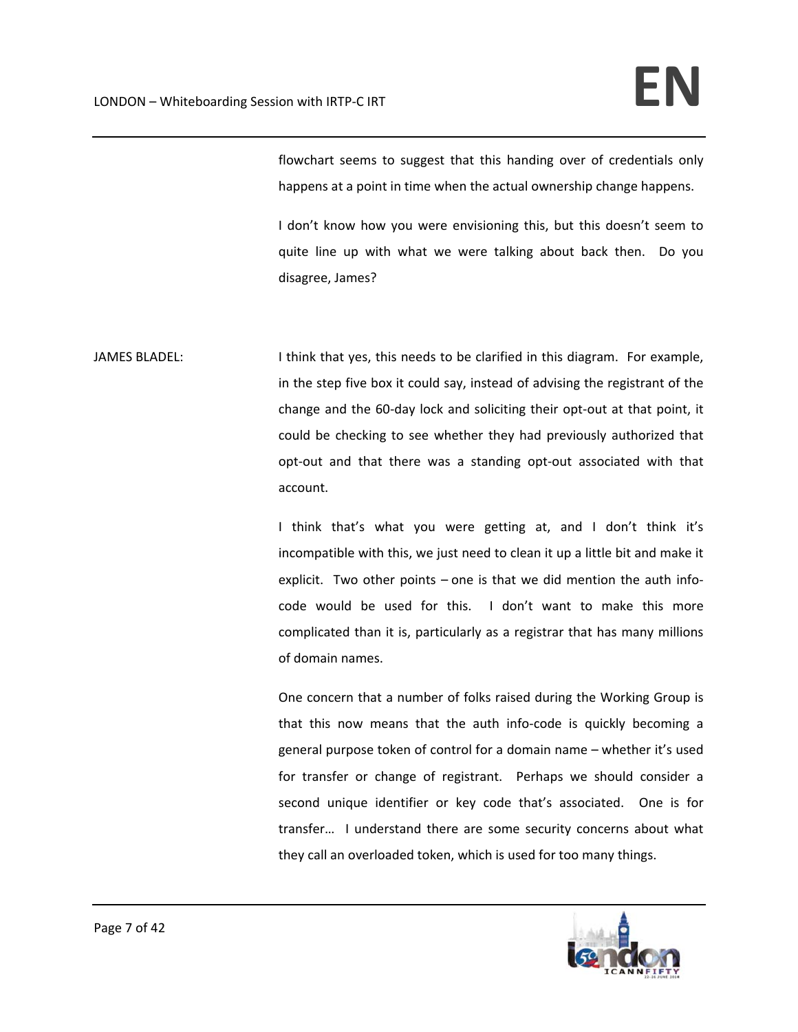flowchart seems to suggest that this handing over of credentials only happens at a point in time when the actual ownership change happens.

I don't know how you were envisioning this, but this doesn't seem to quite line up with what we were talking about back then. Do you disagree, James?

JAMES BLADEL: I think that yes, this needs to be clarified in this diagram. For example, in the step five box it could say, instead of advising the registrant of the change and the 60‐day lock and soliciting their opt‐out at that point, it could be checking to see whether they had previously authorized that opt‐out and that there was a standing opt‐out associated with that account.

> I think that's what you were getting at, and I don't think it's incompatible with this, we just need to clean it up a little bit and make it explicit. Two other points – one is that we did mention the auth infocode would be used for this. I don't want to make this more complicated than it is, particularly as a registrar that has many millions of domain names.

> One concern that a number of folks raised during the Working Group is that this now means that the auth info‐code is quickly becoming a general purpose token of control for a domain name – whether it's used for transfer or change of registrant. Perhaps we should consider a second unique identifier or key code that's associated. One is for transfer... I understand there are some security concerns about what they call an overloaded token, which is used for too many things.

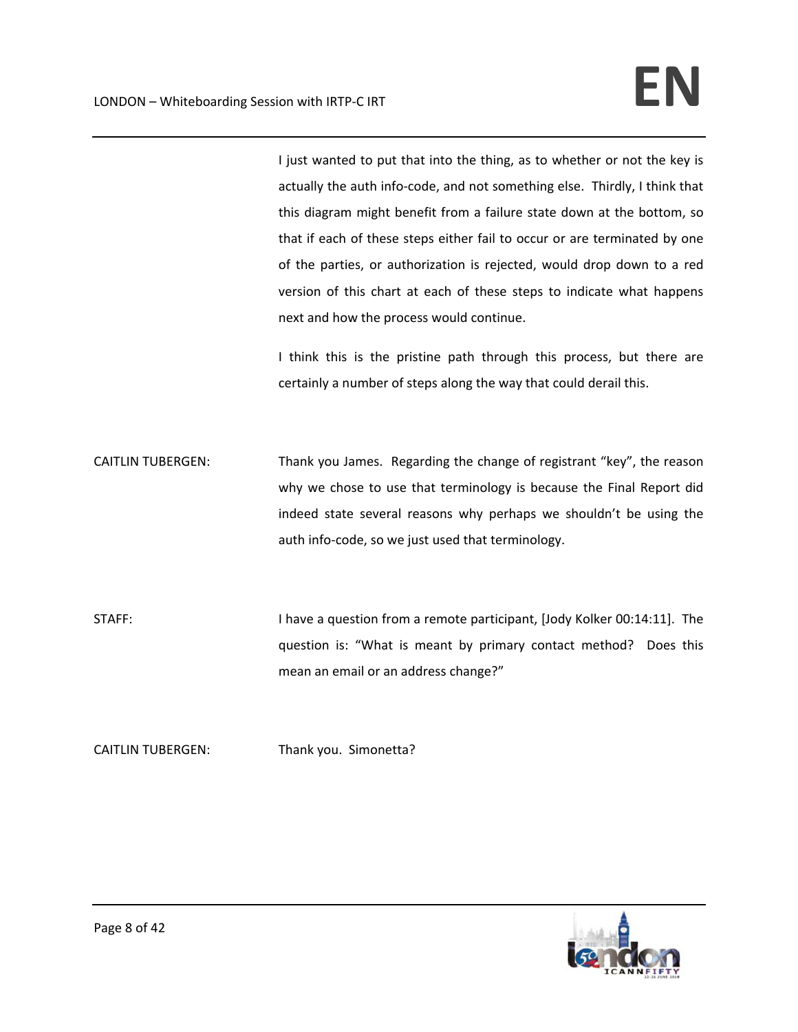I just wanted to put that into the thing, as to whether or not the key is actually the auth info-code, and not something else. Thirdly, I think that this diagram might benefit from a failure state down at the bottom, so that if each of these steps either fail to occur or are terminated by one of the parties, or authorization is rejected, would drop down to a red version of this chart at each of these steps to indicate what happens next and how the process would continue.

I think this is the pristine path through this process, but there are certainly a number of steps along the way that could derail this.

CAITLIN TUBERGEN: Thank you James. Regarding the change of registrant "key", the reason why we chose to use that terminology is because the Final Report did indeed state several reasons why perhaps we shouldn't be using the auth info‐code, so we just used that terminology.

STAFF: I have a question from a remote participant, [Jody Kolker 00:14:11]. The question is: "What is meant by primary contact method? Does this mean an email or an address change?"

CAITLIN TUBERGEN: Thank you. Simonetta?

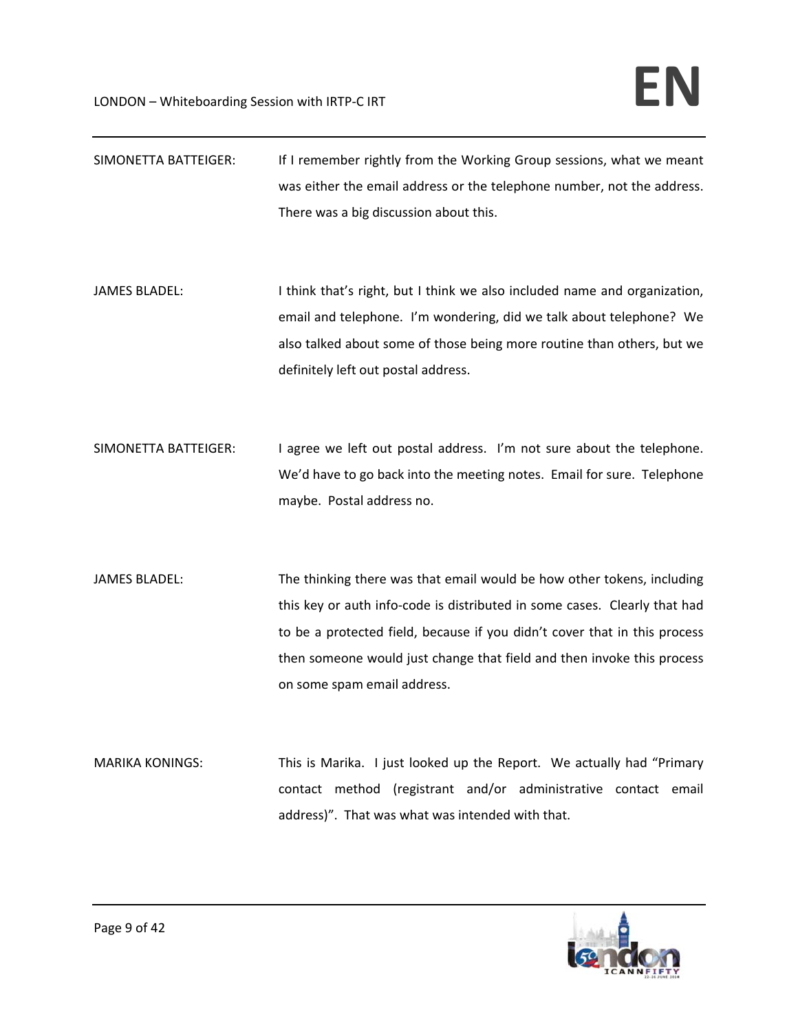| SIMONETTA BATTEIGER:   | If I remember rightly from the Working Group sessions, what we meant<br>was either the email address or the telephone number, not the address.<br>There was a big discussion about this.                                                                                                                                                  |
|------------------------|-------------------------------------------------------------------------------------------------------------------------------------------------------------------------------------------------------------------------------------------------------------------------------------------------------------------------------------------|
| <b>JAMES BLADEL:</b>   | I think that's right, but I think we also included name and organization,<br>email and telephone. I'm wondering, did we talk about telephone? We<br>also talked about some of those being more routine than others, but we<br>definitely left out postal address.                                                                         |
| SIMONETTA BATTEIGER:   | I agree we left out postal address. I'm not sure about the telephone.<br>We'd have to go back into the meeting notes. Email for sure. Telephone<br>maybe. Postal address no.                                                                                                                                                              |
| <b>JAMES BLADEL:</b>   | The thinking there was that email would be how other tokens, including<br>this key or auth info-code is distributed in some cases. Clearly that had<br>to be a protected field, because if you didn't cover that in this process<br>then someone would just change that field and then invoke this process<br>on some spam email address. |
| <b>MARIKA KONINGS:</b> | This is Marika. I just looked up the Report. We actually had "Primary<br>contact method (registrant and/or administrative contact email<br>address)". That was what was intended with that.                                                                                                                                               |

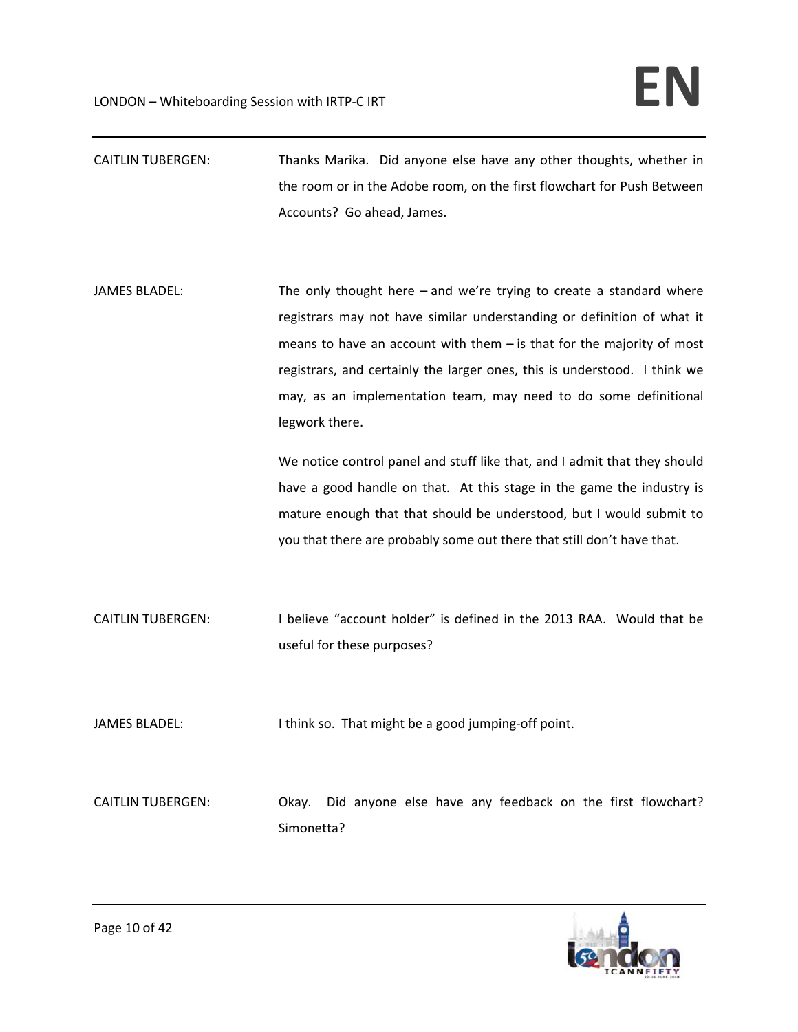- CAITLIN TUBERGEN: Thanks Marika. Did anyone else have any other thoughts, whether in the room or in the Adobe room, on the first flowchart for Push Between Accounts? Go ahead, James.
- JAMES BLADEL: The only thought here and we're trying to create a standard where registrars may not have similar understanding or definition of what it means to have an account with them – is that for the majority of most registrars, and certainly the larger ones, this is understood. I think we may, as an implementation team, may need to do some definitional legwork there.

We notice control panel and stuff like that, and I admit that they should have a good handle on that. At this stage in the game the industry is mature enough that that should be understood, but I would submit to you that there are probably some out there that still don't have that.

- CAITLIN TUBERGEN: I believe "account holder" is defined in the 2013 RAA. Would that be useful for these purposes?
- JAMES BLADEL: I think so. That might be a good jumping-off point.

CAITLIN TUBERGEN: Okay. Did anyone else have any feedback on the first flowchart? Simonetta?

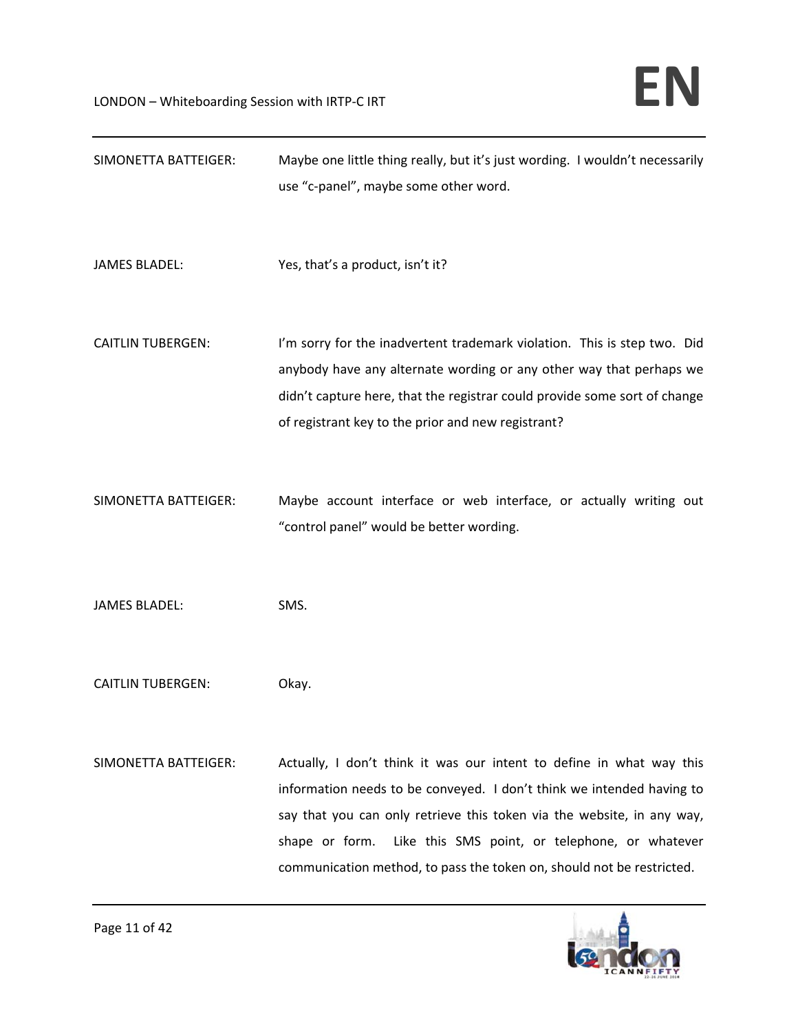| SIMONETTA BATTEIGER:     | Maybe one little thing really, but it's just wording. I wouldn't necessarily<br>use "c-panel", maybe some other word.                                                                                                                                                                                                                                                |
|--------------------------|----------------------------------------------------------------------------------------------------------------------------------------------------------------------------------------------------------------------------------------------------------------------------------------------------------------------------------------------------------------------|
| <b>JAMES BLADEL:</b>     | Yes, that's a product, isn't it?                                                                                                                                                                                                                                                                                                                                     |
| <b>CAITLIN TUBERGEN:</b> | I'm sorry for the inadvertent trademark violation. This is step two. Did<br>anybody have any alternate wording or any other way that perhaps we<br>didn't capture here, that the registrar could provide some sort of change<br>of registrant key to the prior and new registrant?                                                                                   |
| SIMONETTA BATTEIGER:     | Maybe account interface or web interface, or actually writing out<br>"control panel" would be better wording.                                                                                                                                                                                                                                                        |
| <b>JAMES BLADEL:</b>     | SMS.                                                                                                                                                                                                                                                                                                                                                                 |
| <b>CAITLIN TUBERGEN:</b> | Okay.                                                                                                                                                                                                                                                                                                                                                                |
| SIMONETTA BATTEIGER:     | Actually, I don't think it was our intent to define in what way this<br>information needs to be conveyed. I don't think we intended having to<br>say that you can only retrieve this token via the website, in any way,<br>shape or form.<br>Like this SMS point, or telephone, or whatever<br>communication method, to pass the token on, should not be restricted. |

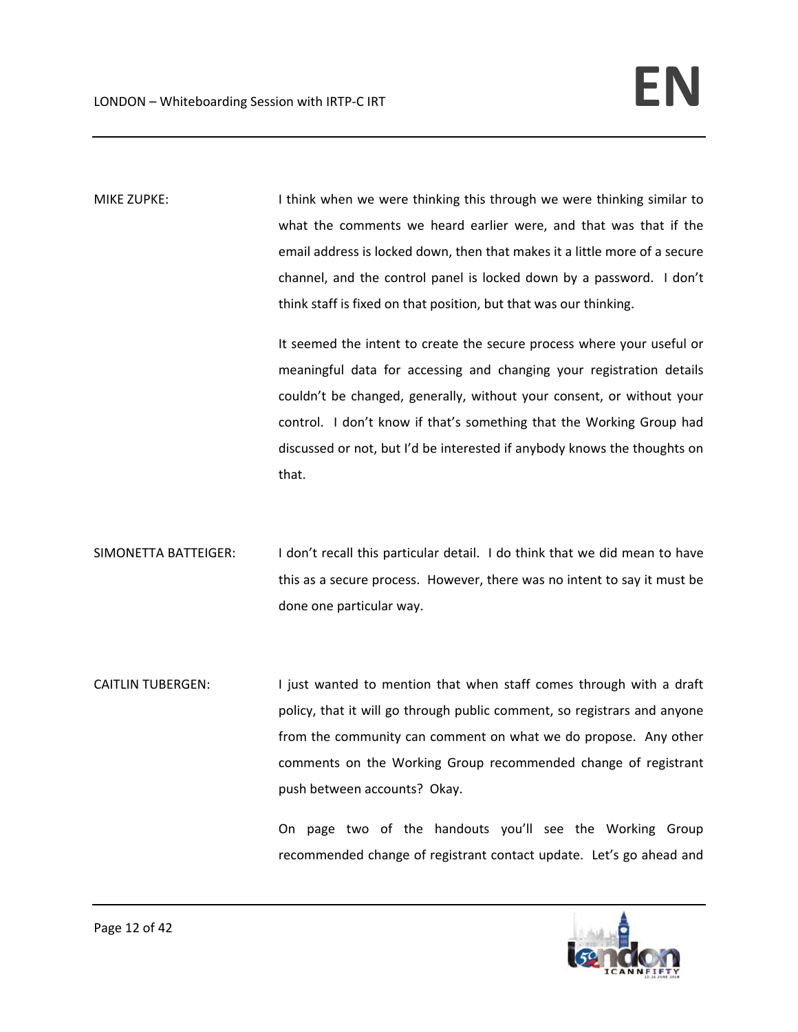MIKE ZUPKE: I say think when we were thinking this through we were thinking similar to what the comments we heard earlier were, and that was that if the email address is locked down, then that makes it a little more of a secure channel, and the control panel is locked down by a password. I don't think staff is fixed on that position, but that was our thinking.

> It seemed the intent to create the secure process where your useful or meaningful data for accessing and changing your registration details couldn't be changed, generally, without your consent, or without your control. I don't know if that's something that the Working Group had discussed or not, but I'd be interested if anybody knows the thoughts on that.

- SIMONETTA BATTEIGER: I don't recall this particular detail. I do think that we did mean to have this as a secure process. However, there was no intent to say it must be done one particular way.
- CAITLIN TUBERGEN: I just wanted to mention that when staff comes through with a draft policy, that it will go through public comment, so registrars and anyone from the community can comment on what we do propose. Any other comments on the Working Group recommended change of registrant push between accounts? Okay.

On page two of the handouts you'll see the Working Group recommended change of registrant contact update. Let's go ahead and

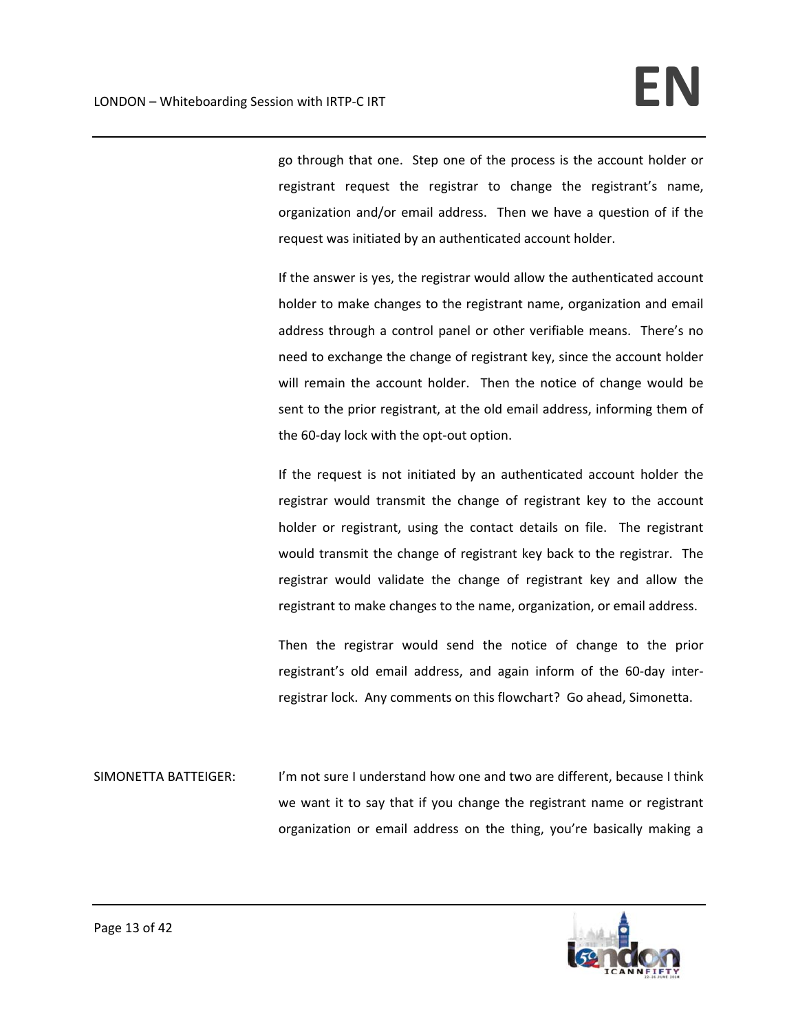go through that one. Step one of the process is the account holder or registrant request the registrar to change the registrant's name, organization and/or email address. Then we have a question of if the request was initiated by an authenticated account holder.

If the answer is yes, the registrar would allow the authenticated account holder to make changes to the registrant name, organization and email address through a control panel or other verifiable means. There's no need to exchange the change of registrant key, since the account holder will remain the account holder. Then the notice of change would be sent to the prior registrant, at the old email address, informing them of the 60‐day lock with the opt‐out option.

If the request is not initiated by an authenticated account holder the registrar would transmit the change of registrant key to the account holder or registrant, using the contact details on file. The registrant would transmit the change of registrant key back to the registrar. The registrar would validate the change of registrant key and allow the registrant to make changes to the name, organization, or email address.

Then the registrar would send the notice of change to the prior registrant's old email address, and again inform of the 60‐day inter‐ registrar lock. Any comments on this flowchart? Go ahead, Simonetta.

SIMONETTA BATTEIGER: I'm not sure I understand how one and two are different, because I think we want it to say that if you change the registrant name or registrant organization or email address on the thing, you're basically making a

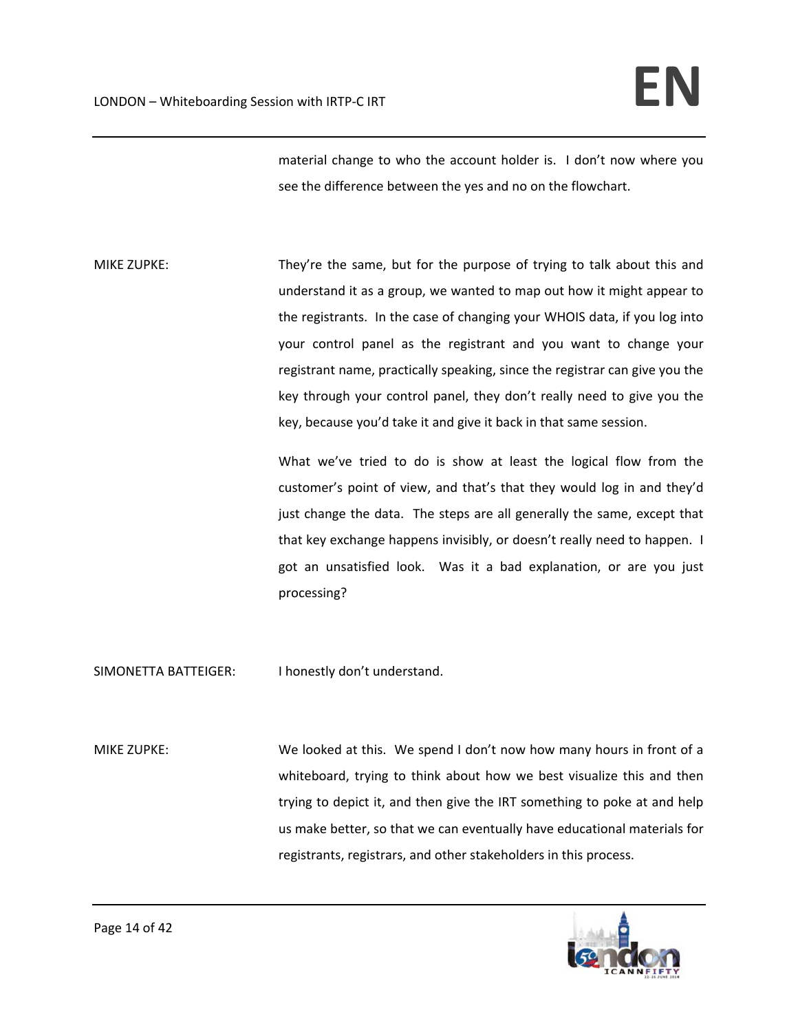material change to who the account holder is. I don't now where you see the difference between the yes and no on the flowchart.

MIKE ZUPKE: They're the same, but for the purpose of trying to talk about this and understand it as a group, we wanted to map out how it might appear to the registrants. In the case of changing your WHOIS data, if you log into your control panel as the registrant and you want to change your registrant name, practically speaking, since the registrar can give you the key through your control panel, they don't really need to give you the key, because you'd take it and give it back in that same session.

> What we've tried to do is show at least the logical flow from the customer's point of view, and that's that they would log in and they'd just change the data. The steps are all generally the same, except that that key exchange happens invisibly, or doesn't really need to happen. I got an unsatisfied look. Was it a bad explanation, or are you just processing?

SIMONETTA BATTEIGER: I honestly don't understand.

MIKE ZUPKE: We looked at this. We spend I don't now how many hours in front of a whiteboard, trying to think about how we best visualize this and then trying to depict it, and then give the IRT something to poke at and help us make better, so that we can eventually have educational materials for registrants, registrars, and other stakeholders in this process.

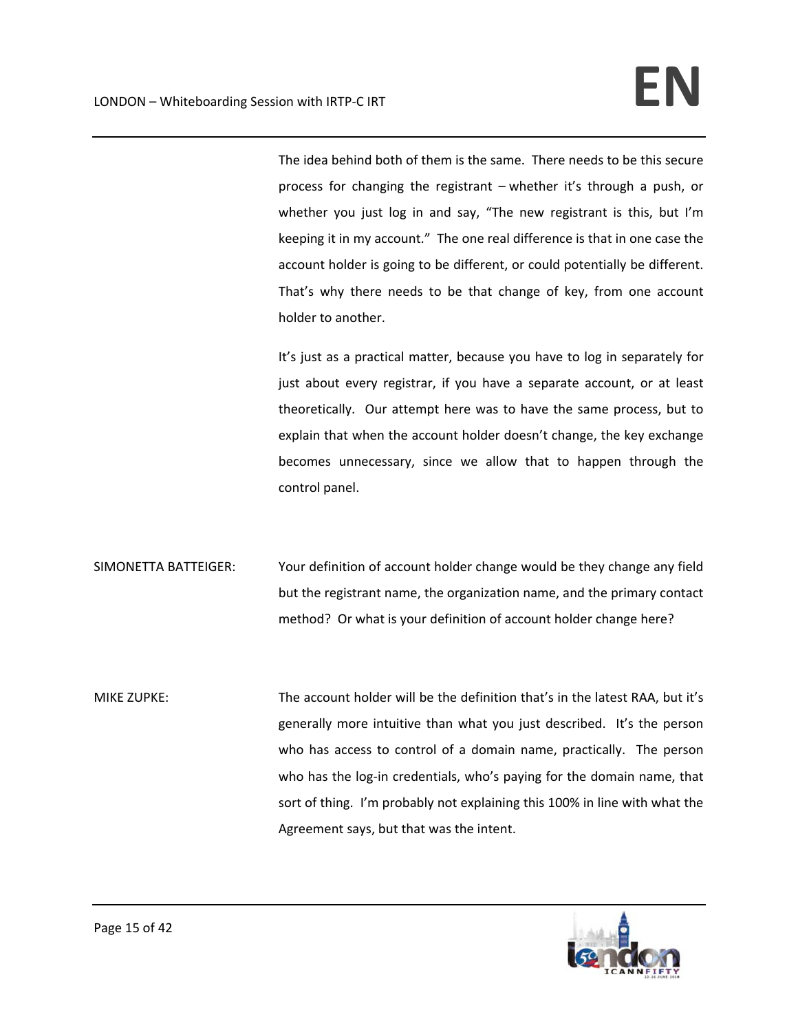The idea behind both of them is the same. There needs to be this secure process for changing the registrant – whether it's through a push, or whether you just log in and say, "The new registrant is this, but I'm keeping it in my account." The one real difference is that in one case the account holder is going to be different, or could potentially be different. That's why there needs to be that change of key, from one account holder to another.

It's just as a practical matter, because you have to log in separately for just about every registrar, if you have a separate account, or at least theoretically. Our attempt here was to have the same process, but to explain that when the account holder doesn't change, the key exchange becomes unnecessary, since we allow that to happen through the control panel.

SIMONETTA BATTEIGER: Your definition of account holder change would be they change any field but the registrant name, the organization name, and the primary contact method? Or what is your definition of account holder change here?

MIKE ZUPKE: The account holder will be the definition that's in the latest RAA, but it's generally more intuitive than what you just described. It's the person who has access to control of a domain name, practically. The person who has the log-in credentials, who's paying for the domain name, that sort of thing. I'm probably not explaining this 100% in line with what the Agreement says, but that was the intent.

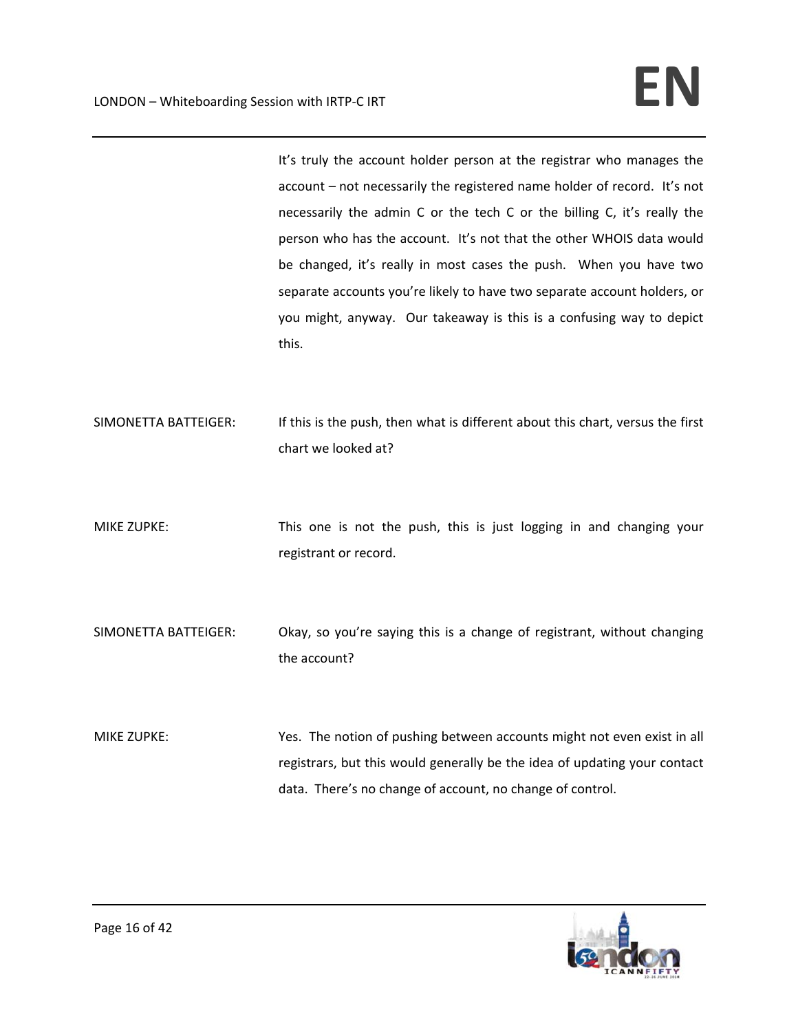It's truly the account holder person at the registrar who manages the account – not necessarily the registered name holder of record. It's not necessarily the admin C or the tech C or the billing C, it's really the person who has the account. It's not that the other WHOIS data would be changed, it's really in most cases the push. When you have two separate accounts you're likely to have two separate account holders, or you might, anyway. Our takeaway is this is a confusing way to depict this.

- SIMONETTA BATTEIGER: If this is the push, then what is different about this chart, versus the first chart we looked at?
- MIKE ZUPKE: This one is not the push, this is just logging in and changing your registrant or record.
- SIMONETTA BATTEIGER: Okay, so you're saying this is a change of registrant, without changing the account?
- MIKE ZUPKE: Yes. The notion of pushing between accounts might not even exist in all registrars, but this would generally be the idea of updating your contact data. There's no change of account, no change of control.

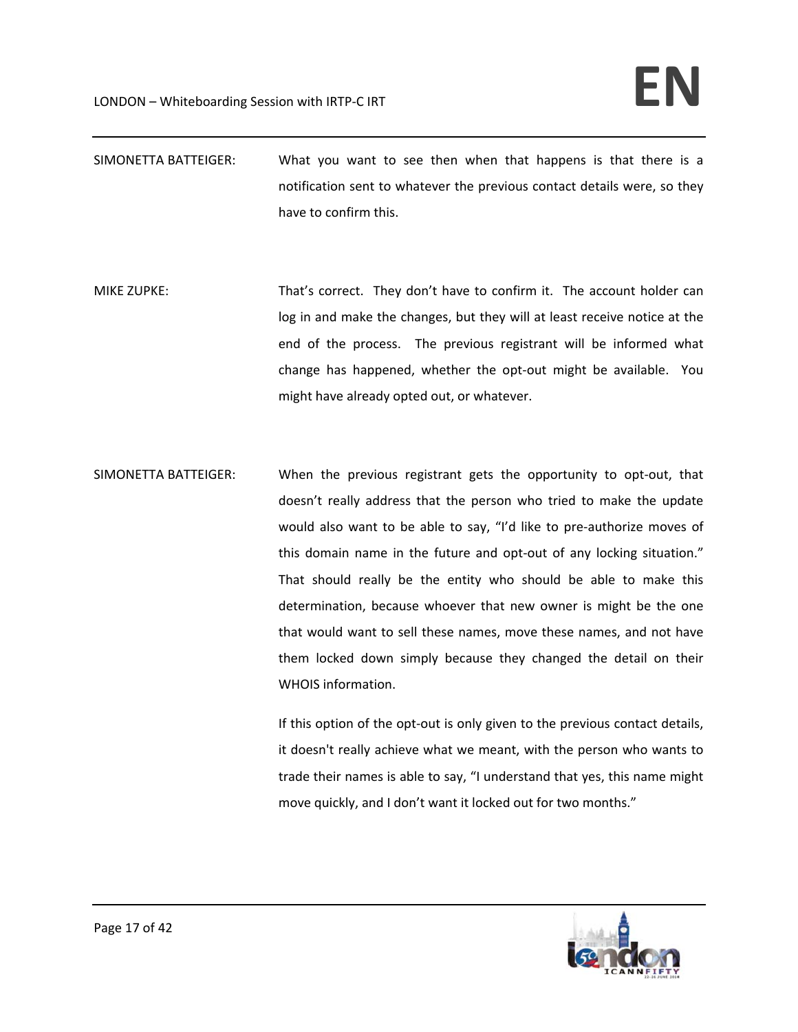- SIMONETTA BATTEIGER: What you want to see then when that happens is that there is a notification sent to whatever the previous contact details were, so they have to confirm this.
- MIKE ZUPKE: That's correct. They don't have to confirm it. The account holder can log in and make the changes, but they will at least receive notice at the end of the process. The previous registrant will be informed what change has happened, whether the opt‐out might be available. You might have already opted out, or whatever.
- SIMONETTA BATTEIGER: When the previous registrant gets the opportunity to opt‐out, that doesn't really address that the person who tried to make the update would also want to be able to say, "I'd like to pre-authorize moves of this domain name in the future and opt-out of any locking situation." That should really be the entity who should be able to make this determination, because whoever that new owner is might be the one that would want to sell these names, move these names, and not have them locked down simply because they changed the detail on their WHOIS information.

If this option of the opt-out is only given to the previous contact details, it doesn't really achieve what we meant, with the person who wants to trade their names is able to say, "I understand that yes, this name might move quickly, and I don't want it locked out for two months."

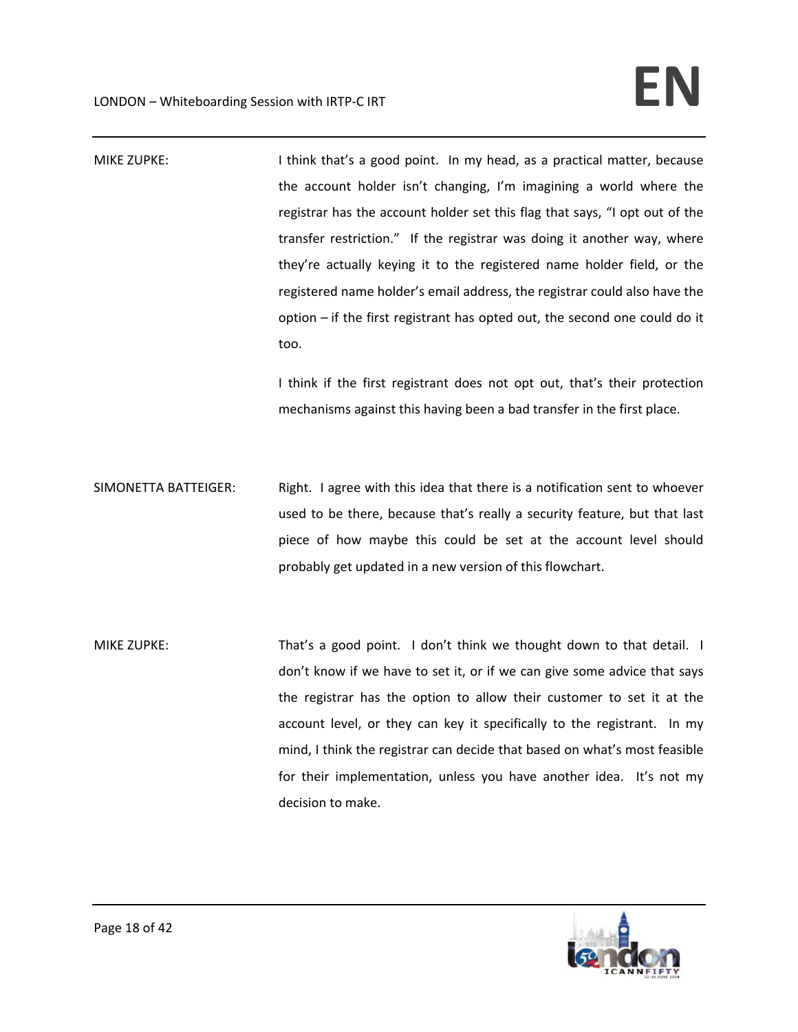| <b>MIKE ZUPKE:</b>   | I think that's a good point. In my head, as a practical matter, because<br>the account holder isn't changing, I'm imagining a world where the<br>registrar has the account holder set this flag that says, "I opt out of the<br>transfer restriction." If the registrar was doing it another way, where<br>they're actually keying it to the registered name holder field, or the<br>registered name holder's email address, the registrar could also have the<br>option - if the first registrant has opted out, the second one could do it<br>too. |
|----------------------|------------------------------------------------------------------------------------------------------------------------------------------------------------------------------------------------------------------------------------------------------------------------------------------------------------------------------------------------------------------------------------------------------------------------------------------------------------------------------------------------------------------------------------------------------|
|                      | I think if the first registrant does not opt out, that's their protection<br>mechanisms against this having been a bad transfer in the first place.                                                                                                                                                                                                                                                                                                                                                                                                  |
| SIMONETTA BATTEIGER: | Right. I agree with this idea that there is a notification sent to whoever<br>used to be there, because that's really a security feature, but that last<br>piece of how maybe this could be set at the account level should<br>probably get updated in a new version of this flowchart.                                                                                                                                                                                                                                                              |
| <b>MIKE ZUPKE:</b>   | That's a good point. I don't think we thought down to that detail. I<br>don't know if we have to set it, or if we can give some advice that says<br>the registrar has the option to allow their customer to set it at the<br>account level, or they can key it specifically to the registrant. In my<br>mind, I think the registrar can decide that based on what's most feasible<br>for their implementation, unless you have another idea. It's not my<br>decision to make.                                                                        |

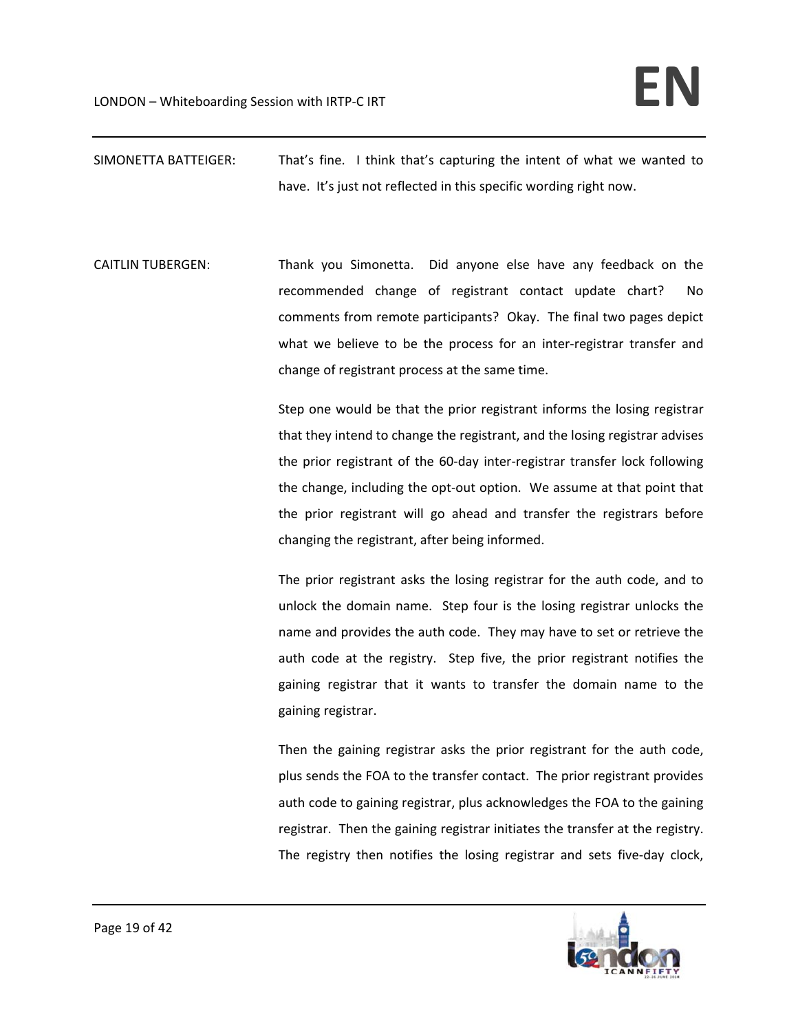- SIMONETTA BATTEIGER: That's fine. I think that's capturing the intent of what we wanted to have. It's just not reflected in this specific wording right now.
- CAITLIN TUBERGEN: Thank you Simonetta. Did anyone else have any feedback on the recommended change of registrant contact update chart? No comments from remote participants? Okay. The final two pages depict what we believe to be the process for an inter-registrar transfer and change of registrant process at the same time.

Step one would be that the prior registrant informs the losing registrar that they intend to change the registrant, and the losing registrar advises the prior registrant of the 60‐day inter‐registrar transfer lock following the change, including the opt‐out option. We assume at that point that the prior registrant will go ahead and transfer the registrars before changing the registrant, after being informed.

The prior registrant asks the losing registrar for the auth code, and to unlock the domain name. Step four is the losing registrar unlocks the name and provides the auth code. They may have to set or retrieve the auth code at the registry. Step five, the prior registrant notifies the gaining registrar that it wants to transfer the domain name to the gaining registrar.

Then the gaining registrar asks the prior registrant for the auth code, plus sends the FOA to the transfer contact. The prior registrant provides auth code to gaining registrar, plus acknowledges the FOA to the gaining registrar. Then the gaining registrar initiates the transfer at the registry. The registry then notifies the losing registrar and sets five-day clock,

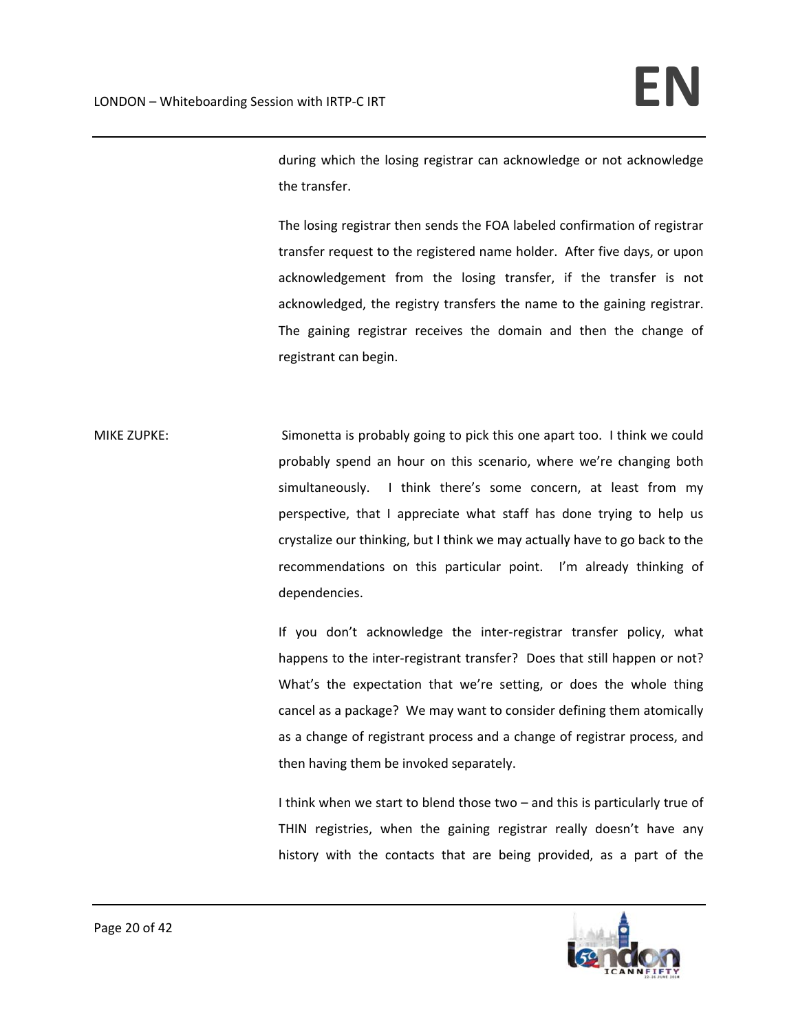during which the losing registrar can acknowledge or not acknowledge the transfer.

The losing registrar then sends the FOA labeled confirmation of registrar transfer request to the registered name holder. After five days, or upon acknowledgement from the losing transfer, if the transfer is not acknowledged, the registry transfers the name to the gaining registrar. The gaining registrar receives the domain and then the change of registrant can begin.

MIKE ZUPKE: Simonetta is probably going to pick this one apart too. I think we could probably spend an hour on this scenario, where we're changing both simultaneously. I think there's some concern, at least from my perspective, that I appreciate what staff has done trying to help us crystalize our thinking, but I think we may actually have to go back to the recommendations on this particular point. I'm already thinking of dependencies.

> If you don't acknowledge the inter‐registrar transfer policy, what happens to the inter-registrant transfer? Does that still happen or not? What's the expectation that we're setting, or does the whole thing cancel as a package? We may want to consider defining them atomically as a change of registrant process and a change of registrar process, and then having them be invoked separately.

> I think when we start to blend those two – and this is particularly true of THIN registries, when the gaining registrar really doesn't have any history with the contacts that are being provided, as a part of the

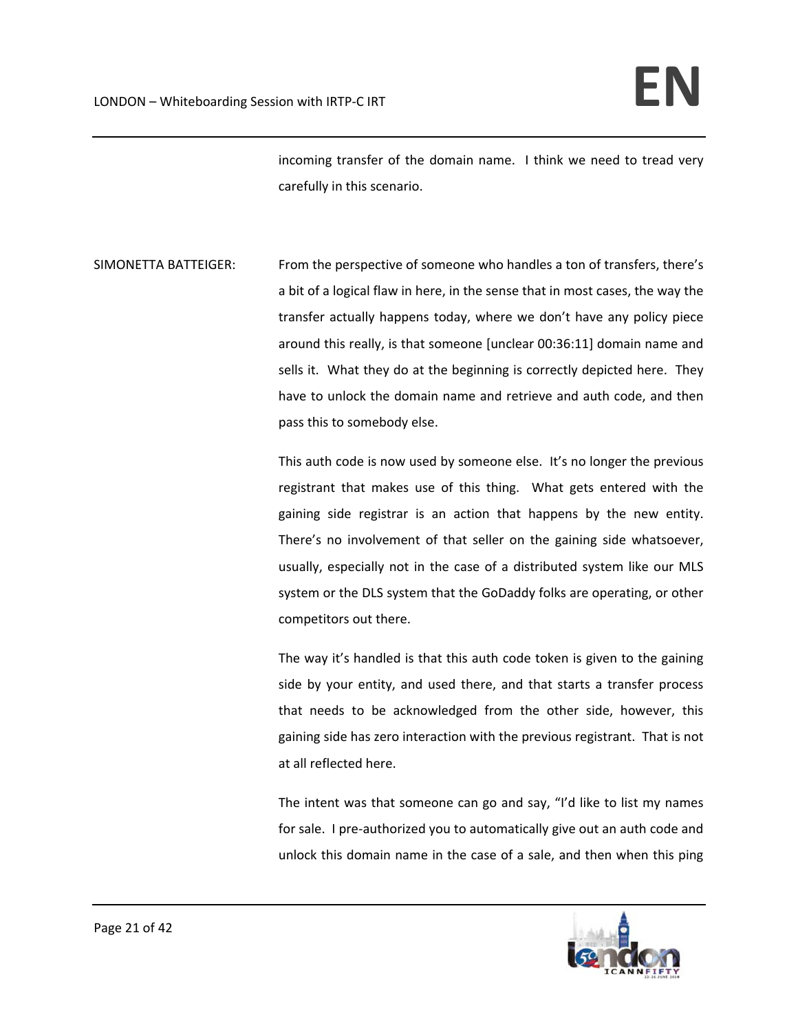incoming transfer of the domain name. I think we need to tread very carefully in this scenario.

SIMONETTA BATTEIGER: From the perspective of someone who handles a ton of transfers, there's a bit of a logical flaw in here, in the sense that in most cases, the way the transfer actually happens today, where we don't have any policy piece around this really, is that someone [unclear 00:36:11] domain name and sells it. What they do at the beginning is correctly depicted here. They have to unlock the domain name and retrieve and auth code, and then pass this to somebody else.

> This auth code is now used by someone else. It's no longer the previous registrant that makes use of this thing. What gets entered with the gaining side registrar is an action that happens by the new entity. There's no involvement of that seller on the gaining side whatsoever, usually, especially not in the case of a distributed system like our MLS system or the DLS system that the GoDaddy folks are operating, or other competitors out there.

> The way it's handled is that this auth code token is given to the gaining side by your entity, and used there, and that starts a transfer process that needs to be acknowledged from the other side, however, this gaining side has zero interaction with the previous registrant. That is not at all reflected here.

> The intent was that someone can go and say, "I'd like to list my names for sale. I pre-authorized you to automatically give out an auth code and unlock this domain name in the case of a sale, and then when this ping

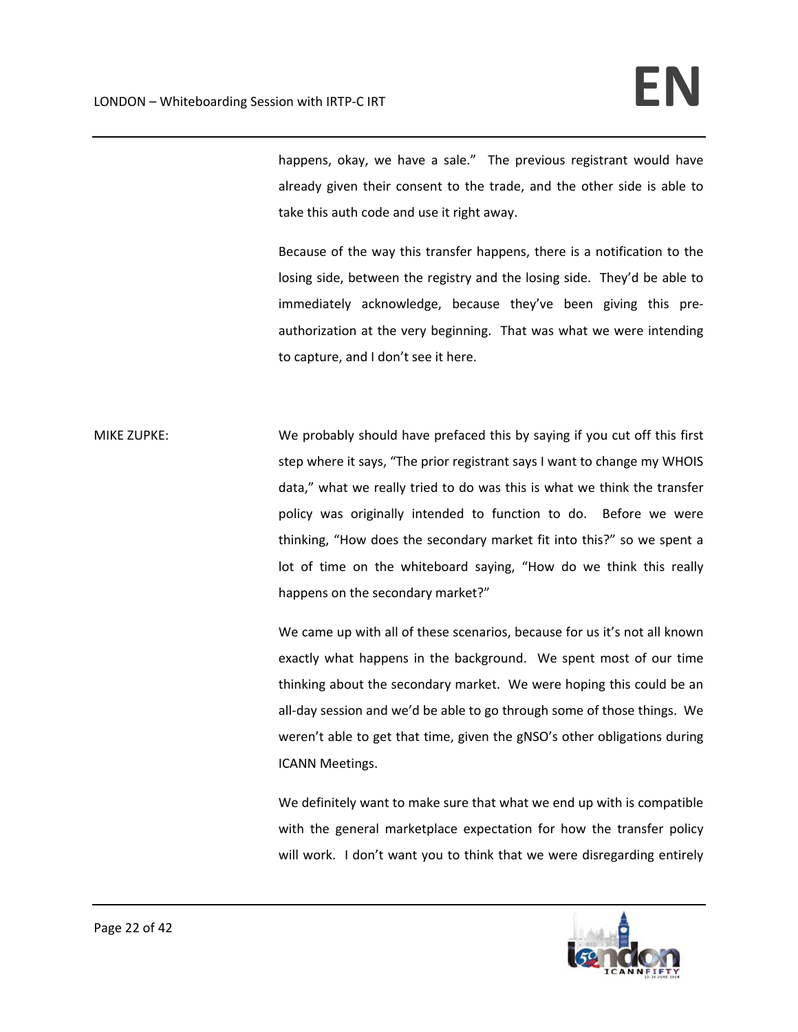happens, okay, we have a sale." The previous registrant would have already given their consent to the trade, and the other side is able to take this auth code and use it right away.

Because of the way this transfer happens, there is a notification to the losing side, between the registry and the losing side. They'd be able to immediately acknowledge, because they've been giving this pre‐ authorization at the very beginning. That was what we were intending to capture, and I don't see it here.

MIKE ZUPKE: We probably should have prefaced this by saying if you cut off this first step where it says, "The prior registrant says I want to change my WHOIS data," what we really tried to do was this is what we think the transfer policy was originally intended to function to do. Before we were thinking, "How does the secondary market fit into this?" so we spent a lot of time on the whiteboard saying, "How do we think this really happens on the secondary market?"

> We came up with all of these scenarios, because for us it's not all known exactly what happens in the background. We spent most of our time thinking about the secondary market. We were hoping this could be an all-day session and we'd be able to go through some of those things. We weren't able to get that time, given the gNSO's other obligations during ICANN Meetings.

> We definitely want to make sure that what we end up with is compatible with the general marketplace expectation for how the transfer policy will work. I don't want you to think that we were disregarding entirely

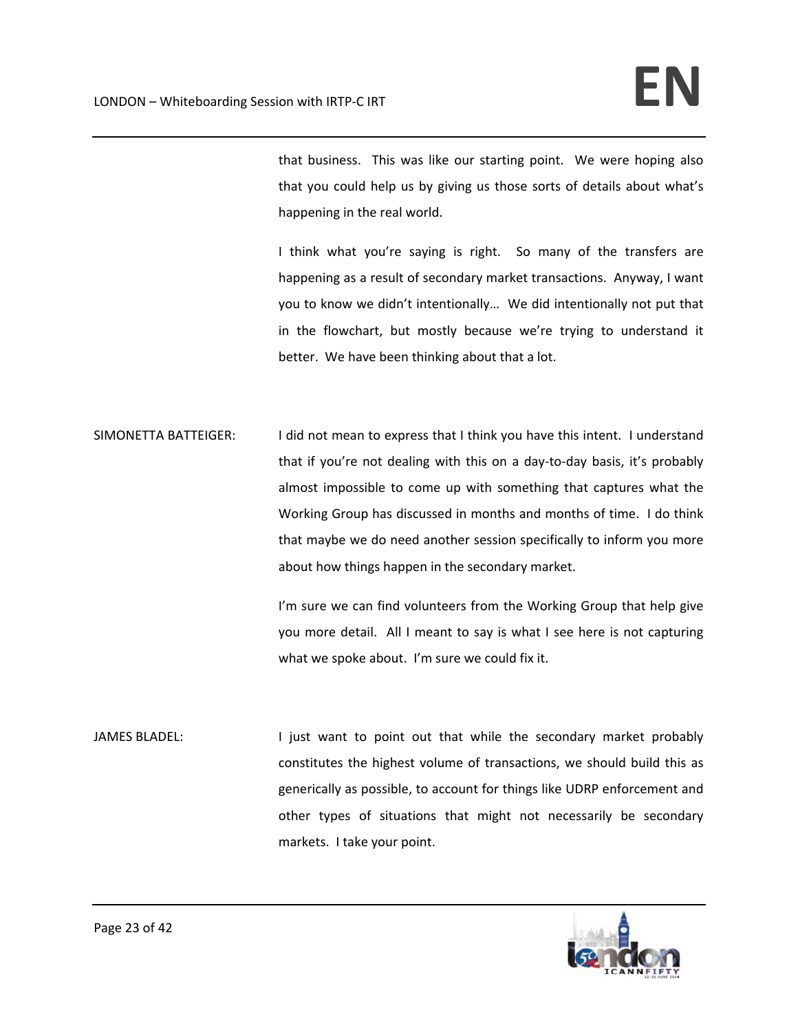that business. This was like our starting point. We were hoping also that you could help us by giving us those sorts of details about what's happening in the real world.

I think what you're saying is right. So many of the transfers are happening as a result of secondary market transactions. Anyway, I want you to know we didn't intentionally… We did intentionally not put that in the flowchart, but mostly because we're trying to understand it better. We have been thinking about that a lot.

SIMONETTA BATTEIGER: I did not mean to express that I think you have this intent. I understand that if you're not dealing with this on a day‐to‐day basis, it's probably almost impossible to come up with something that captures what the Working Group has discussed in months and months of time. I do think that maybe we do need another session specifically to inform you more about how things happen in the secondary market.

> I'm sure we can find volunteers from the Working Group that help give you more detail. All I meant to say is what I see here is not capturing what we spoke about. I'm sure we could fix it.

JAMES BLADEL: I just want to point out that while the secondary market probably constitutes the highest volume of transactions, we should build this as generically as possible, to account for things like UDRP enforcement and other types of situations that might not necessarily be secondary markets. I take your point.

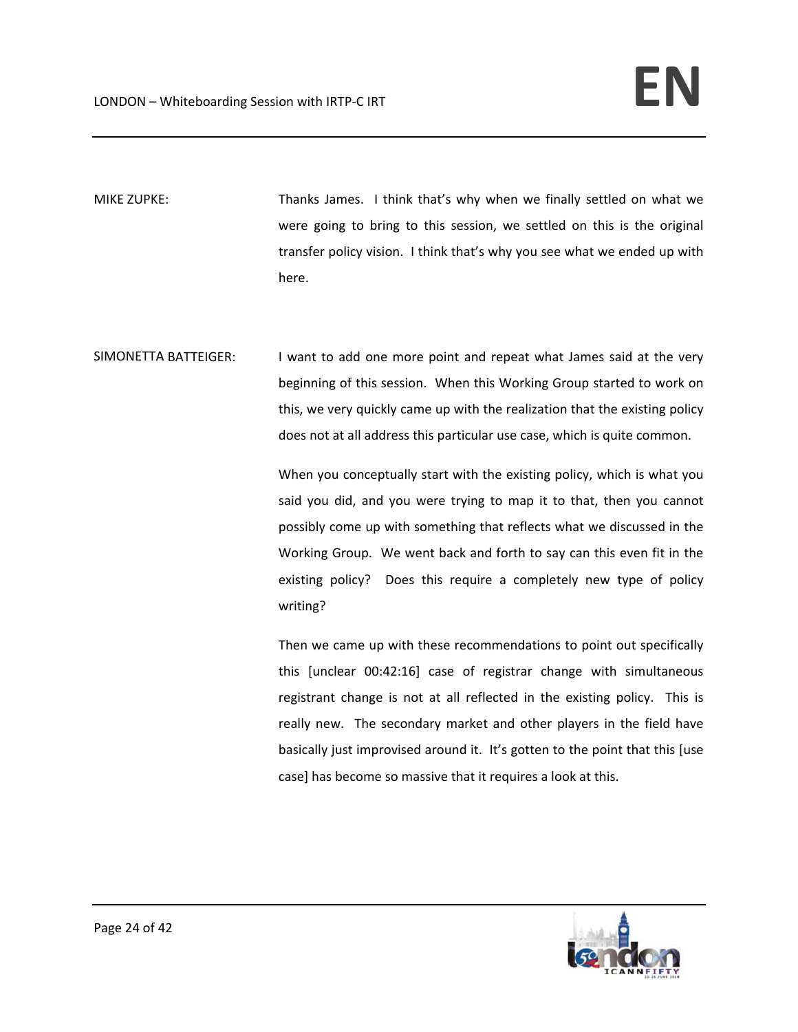MIKE ZUPKE: Thanks James. I think that's why when we finally settled on what we were going to bring to this session, we settled on this is the original transfer policy vision. I think that's why you see what we ended up with here.

SIMONETTA BATTEIGER: I want to add one more point and repeat what James said at the very beginning of this session. When this Working Group started to work on this, we very quickly came up with the realization that the existing policy does not at all address this particular use case, which is quite common.

> When you conceptually start with the existing policy, which is what you said you did, and you were trying to map it to that, then you cannot possibly come up with something that reflects what we discussed in the Working Group. We went back and forth to say can this even fit in the existing policy? Does this require a completely new type of policy writing?

> Then we came up with these recommendations to point out specifically this [unclear 00:42:16] case of registrar change with simultaneous registrant change is not at all reflected in the existing policy. This is really new. The secondary market and other players in the field have basically just improvised around it. It's gotten to the point that this [use case] has become so massive that it requires a look at this.

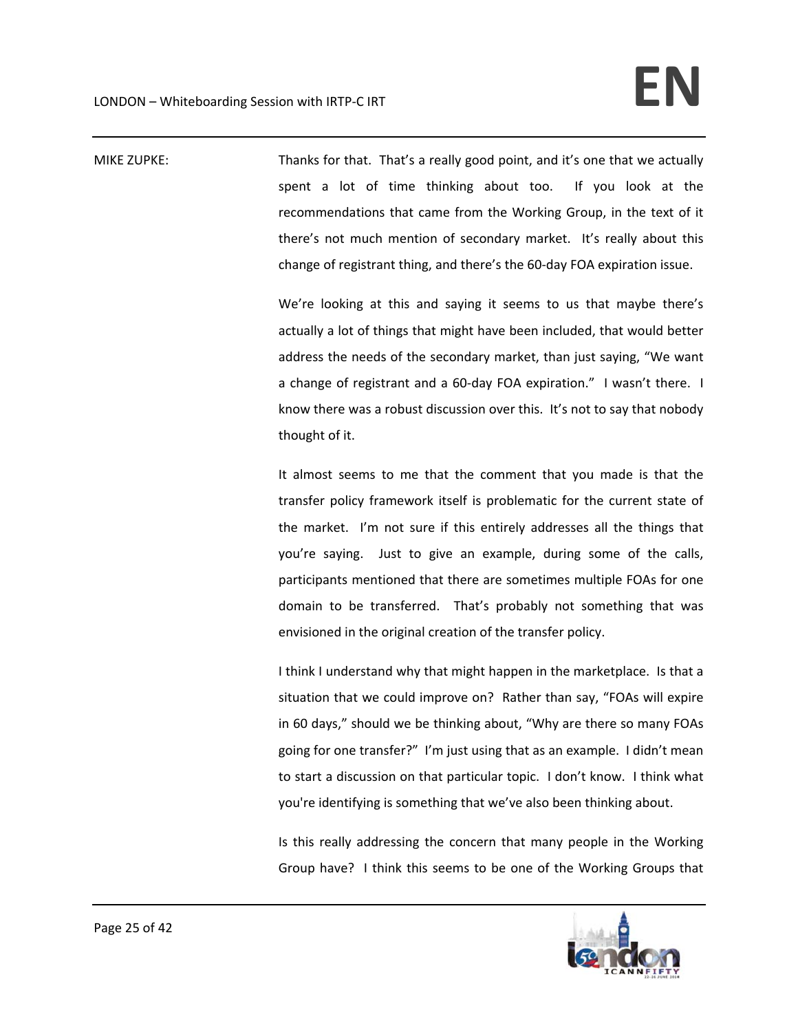MIKE ZUPKE: Thanks for that. That's a really good point, and it's one that we actually spent a lot of time thinking about too. If you look at the recommendations that came from the Working Group, in the text of it there's not much mention of secondary market. It's really about this change of registrant thing, and there's the 60‐day FOA expiration issue.

> We're looking at this and saying it seems to us that maybe there's actually a lot of things that might have been included, that would better address the needs of the secondary market, than just saying, "We want a change of registrant and a 60‐day FOA expiration." I wasn't there. I know there was a robust discussion over this. It's not to say that nobody thought of it.

> It almost seems to me that the comment that you made is that the transfer policy framework itself is problematic for the current state of the market. I'm not sure if this entirely addresses all the things that you're saying. Just to give an example, during some of the calls, participants mentioned that there are sometimes multiple FOAs for one domain to be transferred. That's probably not something that was envisioned in the original creation of the transfer policy.

> I think I understand why that might happen in the marketplace. Is that a situation that we could improve on? Rather than say, "FOAs will expire in 60 days," should we be thinking about, "Why are there so many FOAs going for one transfer?" I'm just using that as an example. I didn't mean to start a discussion on that particular topic. I don't know. I think what you're identifying is something that we've also been thinking about.

> Is this really addressing the concern that many people in the Working Group have? I think this seems to be one of the Working Groups that

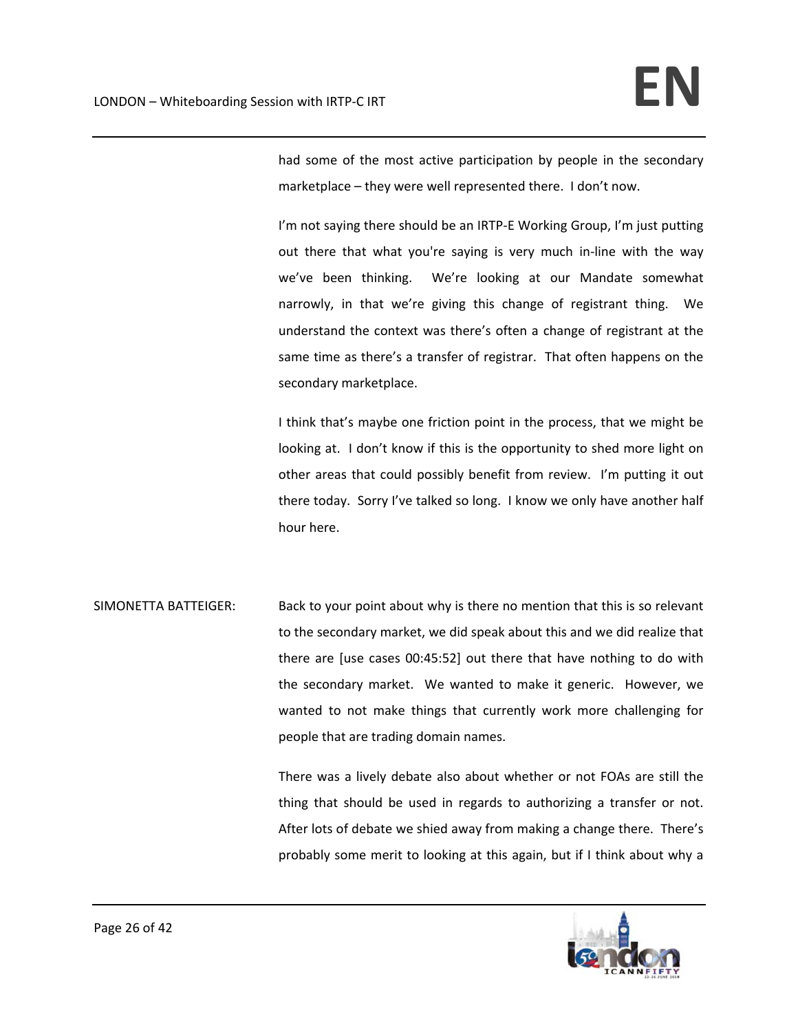had some of the most active participation by people in the secondary marketplace – they were well represented there. I don't now.

I'm not saying there should be an IRTP-E Working Group, I'm just putting out there that what you're saying is very much in‐line with the way we've been thinking. We're looking at our Mandate somewhat narrowly, in that we're giving this change of registrant thing. We understand the context was there's often a change of registrant at the same time as there's a transfer of registrar. That often happens on the secondary marketplace.

I think that's maybe one friction point in the process, that we might be looking at. I don't know if this is the opportunity to shed more light on other areas that could possibly benefit from review. I'm putting it out there today. Sorry I've talked so long. I know we only have another half hour here.

SIMONETTA BATTEIGER: Back to your point about why is there no mention that this is so relevant to the secondary market, we did speak about this and we did realize that there are [use cases 00:45:52] out there that have nothing to do with the secondary market. We wanted to make it generic. However, we wanted to not make things that currently work more challenging for people that are trading domain names.

> There was a lively debate also about whether or not FOAs are still the thing that should be used in regards to authorizing a transfer or not. After lots of debate we shied away from making a change there. There's probably some merit to looking at this again, but if I think about why a

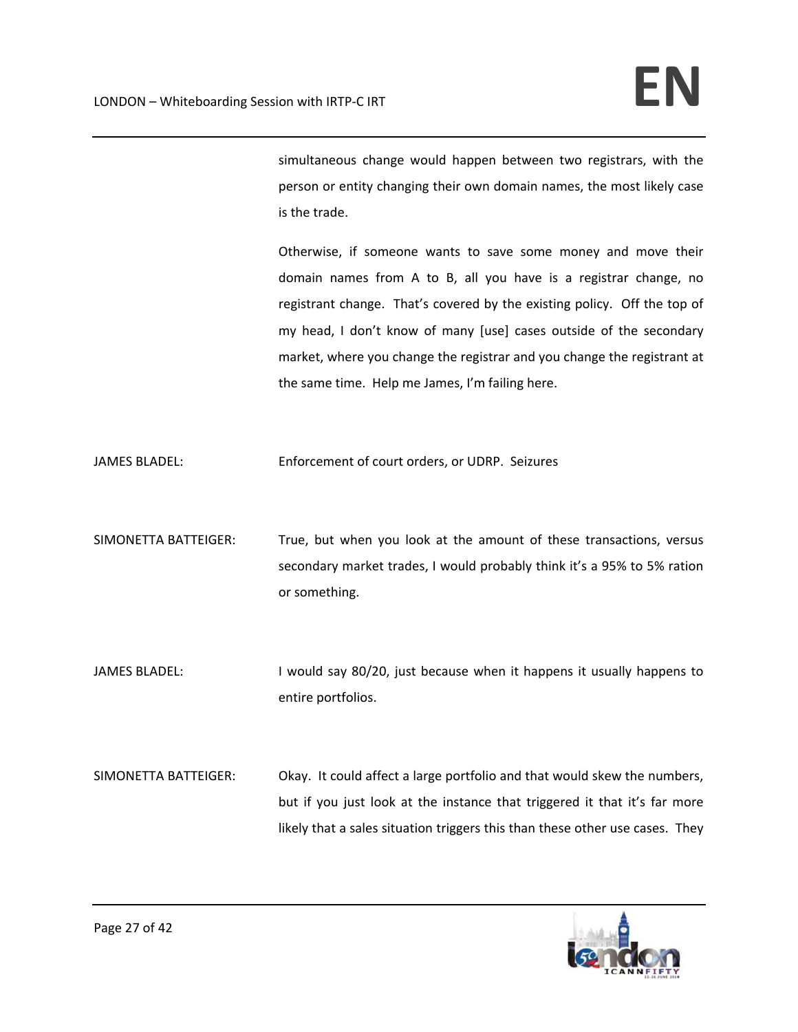simultaneous change would happen between two registrars, with the person or entity changing their own domain names, the most likely case is the trade.

Otherwise, if someone wants to save some money and move their domain names from A to B, all you have is a registrar change, no registrant change. That's covered by the existing policy. Off the top of my head, I don't know of many [use] cases outside of the secondary market, where you change the registrar and you change the registrant at the same time. Help me James, I'm failing here.

JAMES BLADEL: Enforcement of court orders, or UDRP. Seizures

SIMONETTA BATTEIGER: True, but when you look at the amount of these transactions, versus secondary market trades, I would probably think it's a 95% to 5% ration or something.

JAMES BLADEL: I would say 80/20, just because when it happens it usually happens to entire portfolios.

SIMONETTA BATTEIGER: Okay. It could affect a large portfolio and that would skew the numbers, but if you just look at the instance that triggered it that it's far more likely that a sales situation triggers this than these other use cases. They

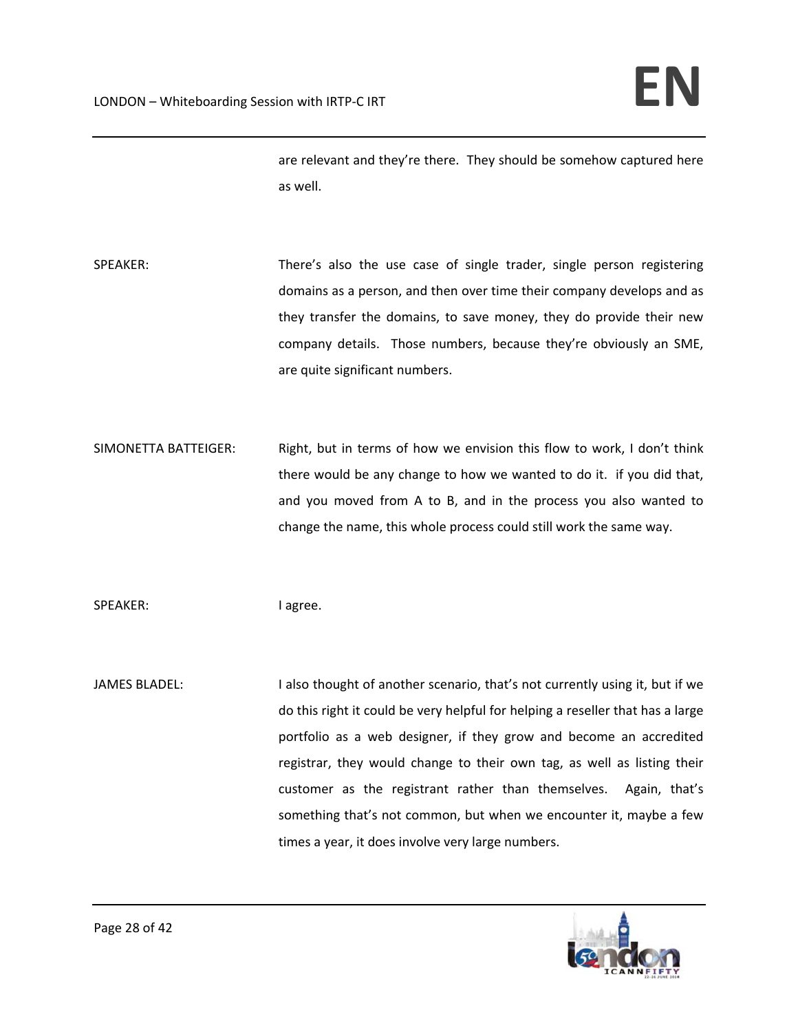are relevant and they're there. They should be somehow captured here as well.

SPEAKER: There's also the use case of single trader, single person registering domains as a person, and then over time their company develops and as they transfer the domains, to save money, they do provide their new company details. Those numbers, because they're obviously an SME, are quite significant numbers.

SIMONETTA BATTEIGER: Right, but in terms of how we envision this flow to work, I don't think there would be any change to how we wanted to do it. if you did that, and you moved from A to B, and in the process you also wanted to change the name, this whole process could still work the same way.

SPEAKER: lagree.

JAMES BLADEL: I also thought of another scenario, that's not currently using it, but if we do this right it could be very helpful for helping a reseller that has a large portfolio as a web designer, if they grow and become an accredited registrar, they would change to their own tag, as well as listing their customer as the registrant rather than themselves. Again, that's something that's not common, but when we encounter it, maybe a few times a year, it does involve very large numbers.

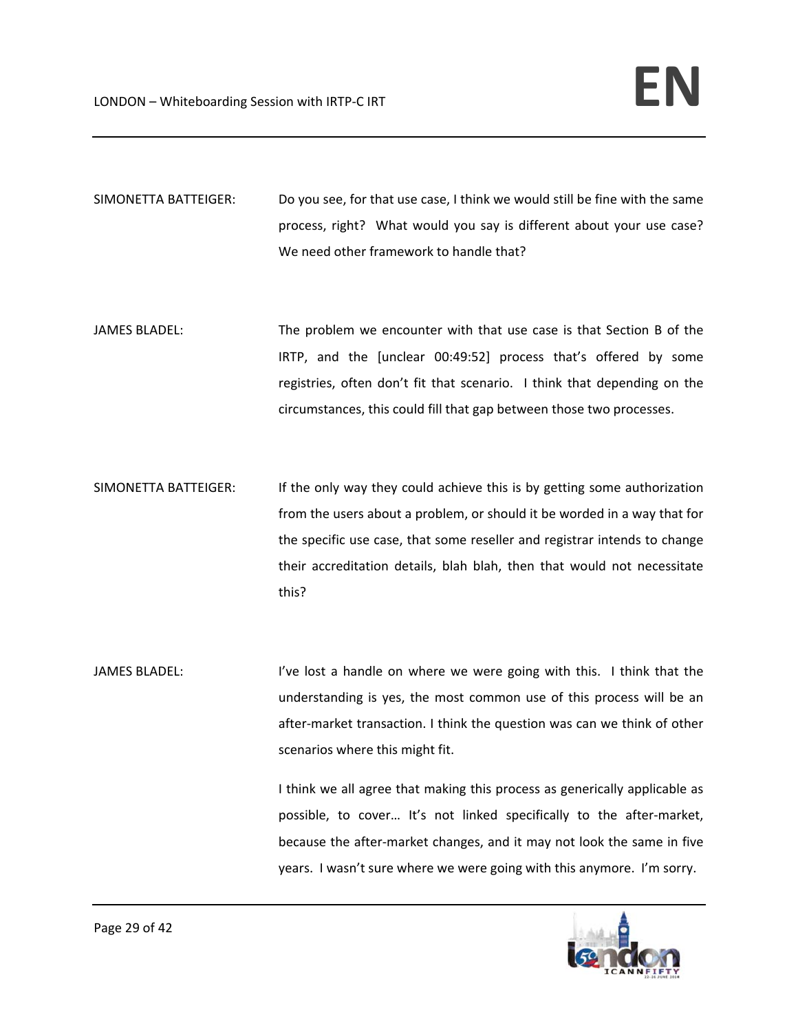SIMONETTA BATTEIGER: Do you see, for that use case, I think we would still be fine with the same process, right? What would you say is different about your use case? We need other framework to handle that?

- JAMES BLADEL: The problem we encounter with that use case is that Section B of the IRTP, and the [unclear 00:49:52] process that's offered by some registries, often don't fit that scenario. I think that depending on the circumstances, this could fill that gap between those two processes.
- SIMONETTA BATTEIGER: If the only way they could achieve this is by getting some authorization from the users about a problem, or should it be worded in a way that for the specific use case, that some reseller and registrar intends to change their accreditation details, blah blah, then that would not necessitate this?
- JAMES BLADEL: I've lost a handle on where we were going with this. I think that the understanding is yes, the most common use of this process will be an after-market transaction. I think the question was can we think of other scenarios where this might fit.

I think we all agree that making this process as generically applicable as possible, to cover... It's not linked specifically to the after-market, because the after‐market changes, and it may not look the same in five years. I wasn't sure where we were going with this anymore. I'm sorry.

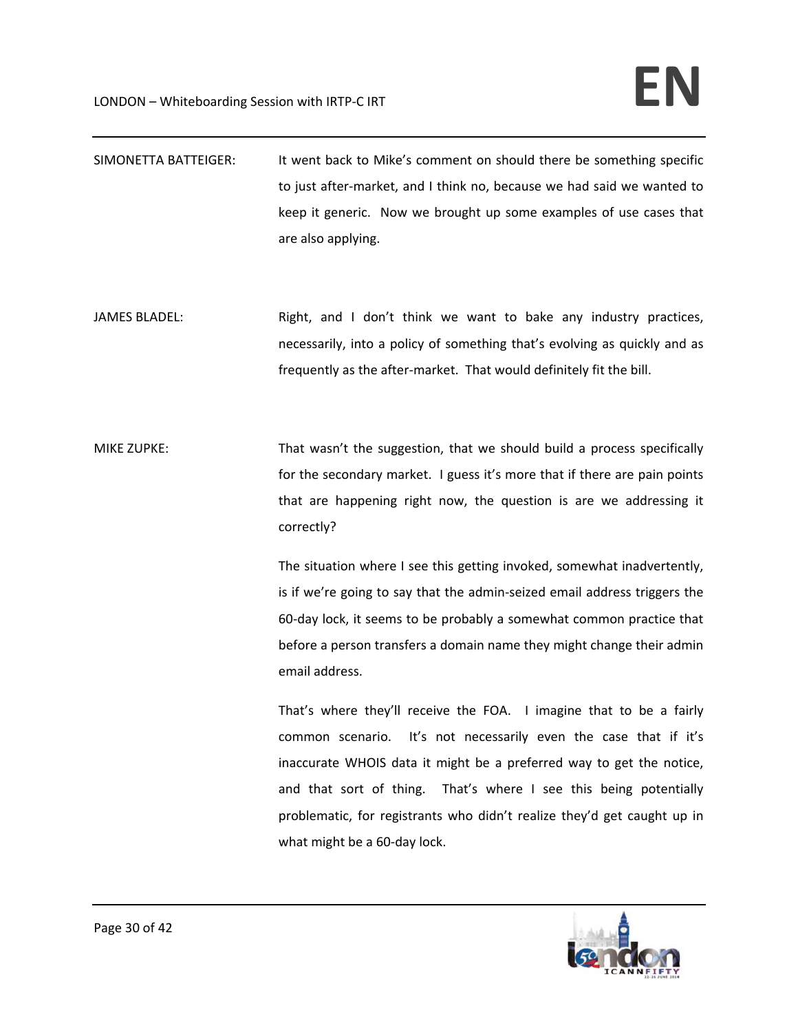| SIMONETTA BATTEIGER: | It went back to Mike's comment on should there be something specific   |
|----------------------|------------------------------------------------------------------------|
|                      | to just after-market, and I think no, because we had said we wanted to |
|                      | keep it generic. Now we brought up some examples of use cases that     |
|                      | are also applying.                                                     |

- JAMES BLADEL: Right, and I don't think we want to bake any industry practices, necessarily, into a policy of something that's evolving as quickly and as frequently as the after‐market. That would definitely fit the bill.
- MIKE ZUPKE: That wasn't the suggestion, that we should build a process specifically for the secondary market. I guess it's more that if there are pain points that are happening right now, the question is are we addressing it correctly?

The situation where I see this getting invoked, somewhat inadvertently, is if we're going to say that the admin‐seized email address triggers the 60‐day lock, it seems to be probably a somewhat common practice that before a person transfers a domain name they might change their admin email address.

That's where they'll receive the FOA. I imagine that to be a fairly common scenario. It's not necessarily even the case that if it's inaccurate WHOIS data it might be a preferred way to get the notice, and that sort of thing. That's where I see this being potentially problematic, for registrants who didn't realize they'd get caught up in what might be a 60‐day lock.

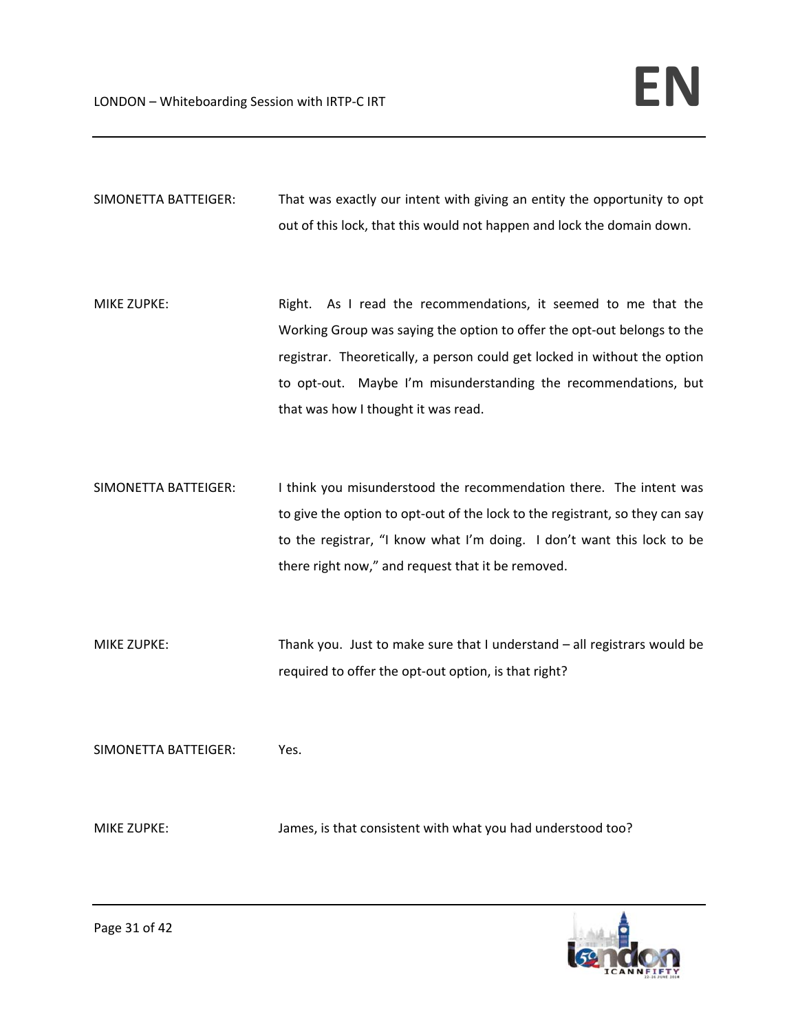SIMONETTA BATTEIGER: That was exactly our intent with giving an entity the opportunity to opt out of this lock, that this would not happen and lock the domain down.

MIKE ZUPKE: Right. As I read the recommendations, it seemed to me that the Working Group was saying the option to offer the opt‐out belongs to the registrar. Theoretically, a person could get locked in without the option to opt-out. Maybe I'm misunderstanding the recommendations, but that was how I thought it was read.

SIMONETTA BATTEIGER: I think you misunderstood the recommendation there. The intent was to give the option to opt-out of the lock to the registrant, so they can say to the registrar, "I know what I'm doing. I don't want this lock to be there right now," and request that it be removed.

MIKE ZUPKE: Thank you. Just to make sure that I understand – all registrars would be required to offer the opt-out option, is that right?

SIMONETTA BATTEIGER: Yes.

MIKE ZUPKE: James, is that consistent with what you had understood too?

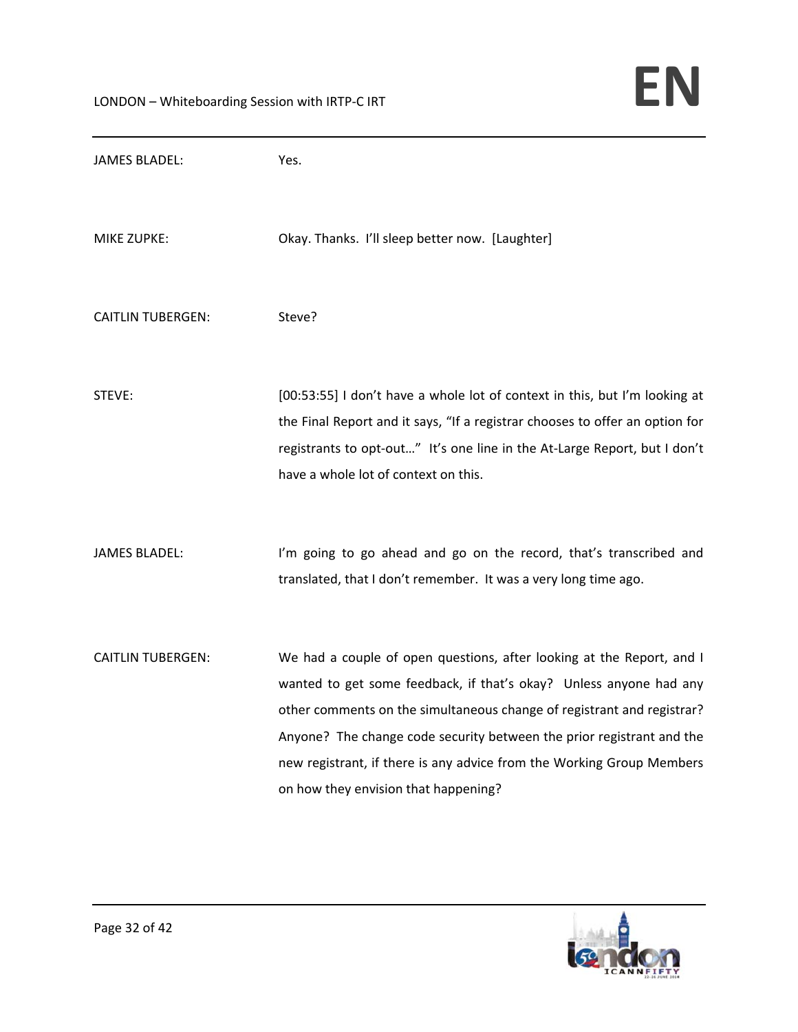| <b>JAMES BLADEL:</b>     | Yes.                                                                                                                                                                                                                                                                                                                                                                                                            |
|--------------------------|-----------------------------------------------------------------------------------------------------------------------------------------------------------------------------------------------------------------------------------------------------------------------------------------------------------------------------------------------------------------------------------------------------------------|
| <b>MIKE ZUPKE:</b>       | Okay. Thanks. I'll sleep better now. [Laughter]                                                                                                                                                                                                                                                                                                                                                                 |
| <b>CAITLIN TUBERGEN:</b> | Steve?                                                                                                                                                                                                                                                                                                                                                                                                          |
| STEVE:                   | [00:53:55] I don't have a whole lot of context in this, but I'm looking at<br>the Final Report and it says, "If a registrar chooses to offer an option for<br>registrants to opt-out" It's one line in the At-Large Report, but I don't<br>have a whole lot of context on this.                                                                                                                                 |
| <b>JAMES BLADEL:</b>     | I'm going to go ahead and go on the record, that's transcribed and<br>translated, that I don't remember. It was a very long time ago.                                                                                                                                                                                                                                                                           |
| <b>CAITLIN TUBERGEN:</b> | We had a couple of open questions, after looking at the Report, and I<br>wanted to get some feedback, if that's okay? Unless anyone had any<br>other comments on the simultaneous change of registrant and registrar?<br>Anyone? The change code security between the prior registrant and the<br>new registrant, if there is any advice from the Working Group Members<br>on how they envision that happening? |

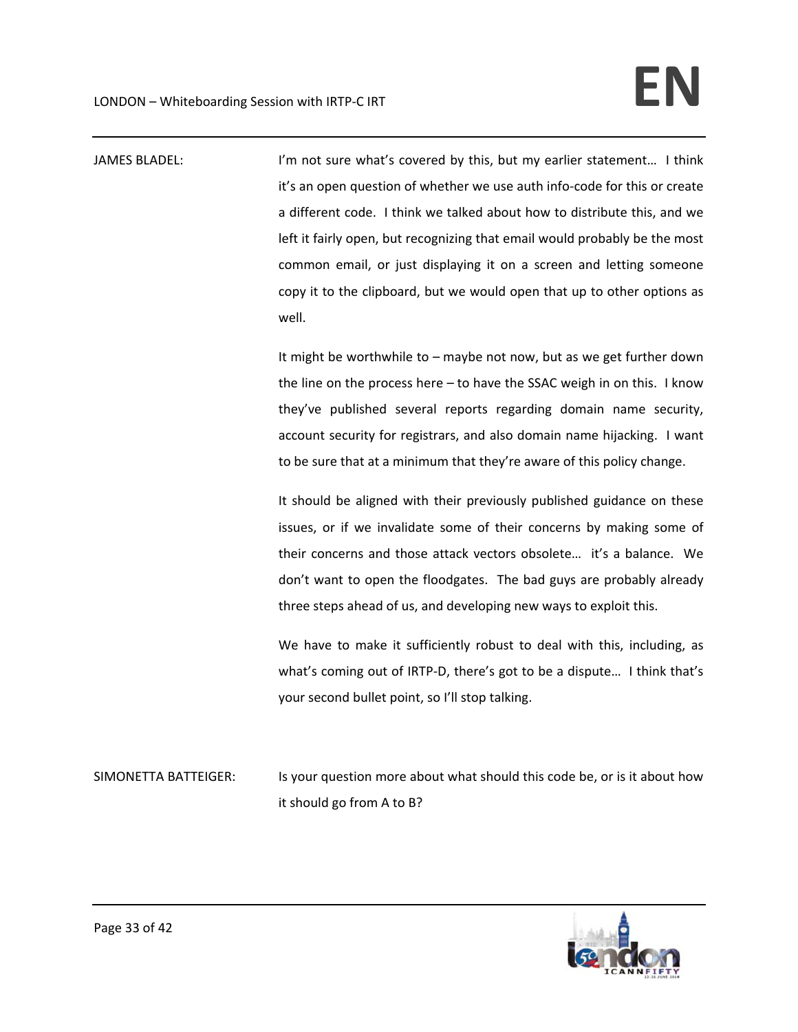JAMES BLADEL: I'm not sure what's covered by this, but my earlier statement... I think it's an open question of whether we use auth info‐code for this or create a different code. I think we talked about how to distribute this, and we left it fairly open, but recognizing that email would probably be the most common email, or just displaying it on a screen and letting someone copy it to the clipboard, but we would open that up to other options as well.

> It might be worthwhile to – maybe not now, but as we get further down the line on the process here – to have the SSAC weigh in on this. I know they've published several reports regarding domain name security, account security for registrars, and also domain name hijacking. I want to be sure that at a minimum that they're aware of this policy change.

> It should be aligned with their previously published guidance on these issues, or if we invalidate some of their concerns by making some of their concerns and those attack vectors obsolete… it's a balance. We don't want to open the floodgates. The bad guys are probably already three steps ahead of us, and developing new ways to exploit this.

> We have to make it sufficiently robust to deal with this, including, as what's coming out of IRTP-D, there's got to be a dispute... I think that's your second bullet point, so I'll stop talking.

SIMONETTA BATTEIGER: Is your question more about what should this code be, or is it about how it should go from A to B?

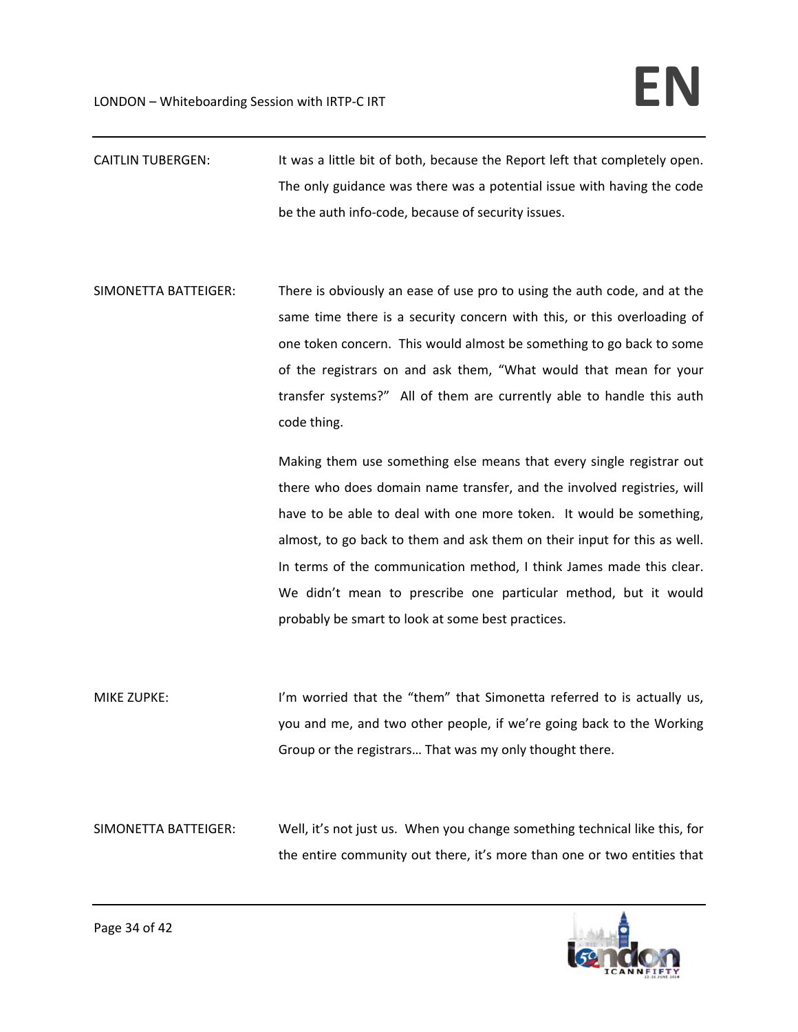- CAITLIN TUBERGEN: It was a little bit of both, because the Report left that completely open. The only guidance was there was a potential issue with having the code be the auth info‐code, because of security issues.
- SIMONETTA BATTEIGER: There is obviously an ease of use pro to using the auth code, and at the same time there is a security concern with this, or this overloading of one token concern. This would almost be something to go back to some of the registrars on and ask them, "What would that mean for your transfer systems?" All of them are currently able to handle this auth code thing.

Making them use something else means that every single registrar out there who does domain name transfer, and the involved registries, will have to be able to deal with one more token. It would be something, almost, to go back to them and ask them on their input for this as well. In terms of the communication method, I think James made this clear. We didn't mean to prescribe one particular method, but it would probably be smart to look at some best practices.

MIKE ZUPKE: I'm worried that the "them" that Simonetta referred to is actually us, you and me, and two other people, if we're going back to the Working Group or the registrars… That was my only thought there.

SIMONETTA BATTEIGER: Well, it's not just us. When you change something technical like this, for the entire community out there, it's more than one or two entities that

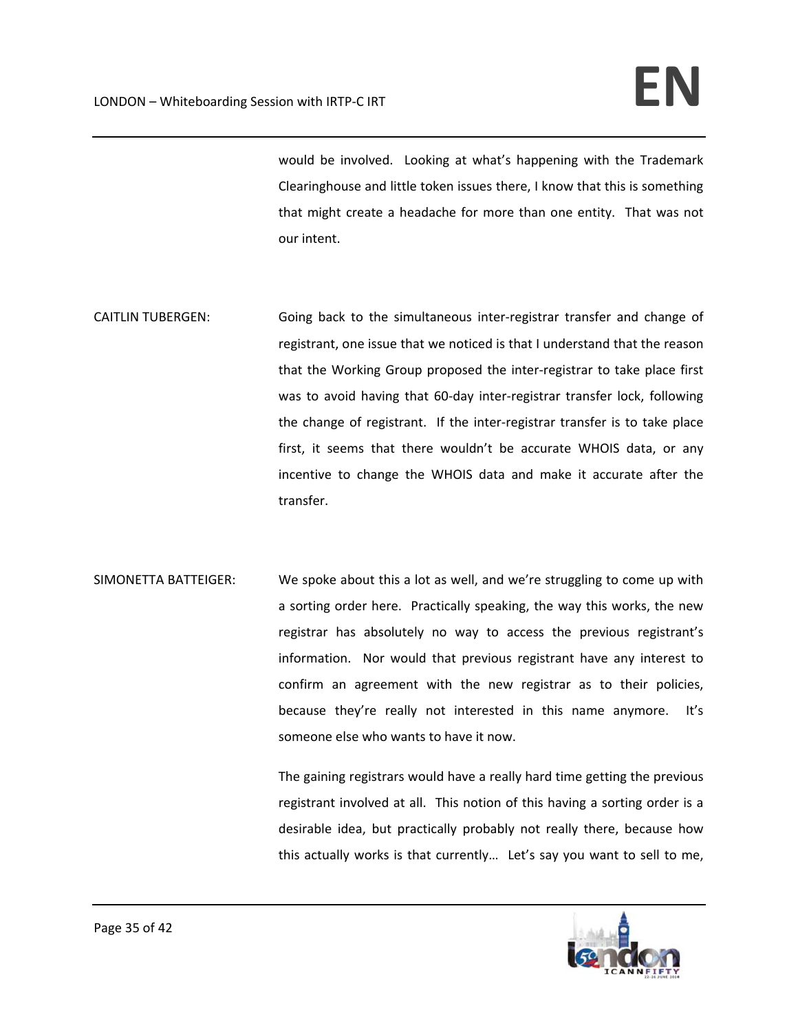would be involved. Looking at what's happening with the Trademark Clearinghouse and little token issues there, I know that this is something that might create a headache for more than one entity. That was not our intent.

- CAITLIN TUBERGEN: Going back to the simultaneous inter-registrar transfer and change of registrant, one issue that we noticed is that I understand that the reason that the Working Group proposed the inter‐registrar to take place first was to avoid having that 60-day inter-registrar transfer lock, following the change of registrant. If the inter‐registrar transfer is to take place first, it seems that there wouldn't be accurate WHOIS data, or any incentive to change the WHOIS data and make it accurate after the transfer.
- SIMONETTA BATTEIGER: We spoke about this a lot as well, and we're struggling to come up with a sorting order here. Practically speaking, the way this works, the new registrar has absolutely no way to access the previous registrant's information. Nor would that previous registrant have any interest to confirm an agreement with the new registrar as to their policies, because they're really not interested in this name anymore. It's someone else who wants to have it now.

The gaining registrars would have a really hard time getting the previous registrant involved at all. This notion of this having a sorting order is a desirable idea, but practically probably not really there, because how this actually works is that currently… Let's say you want to sell to me,

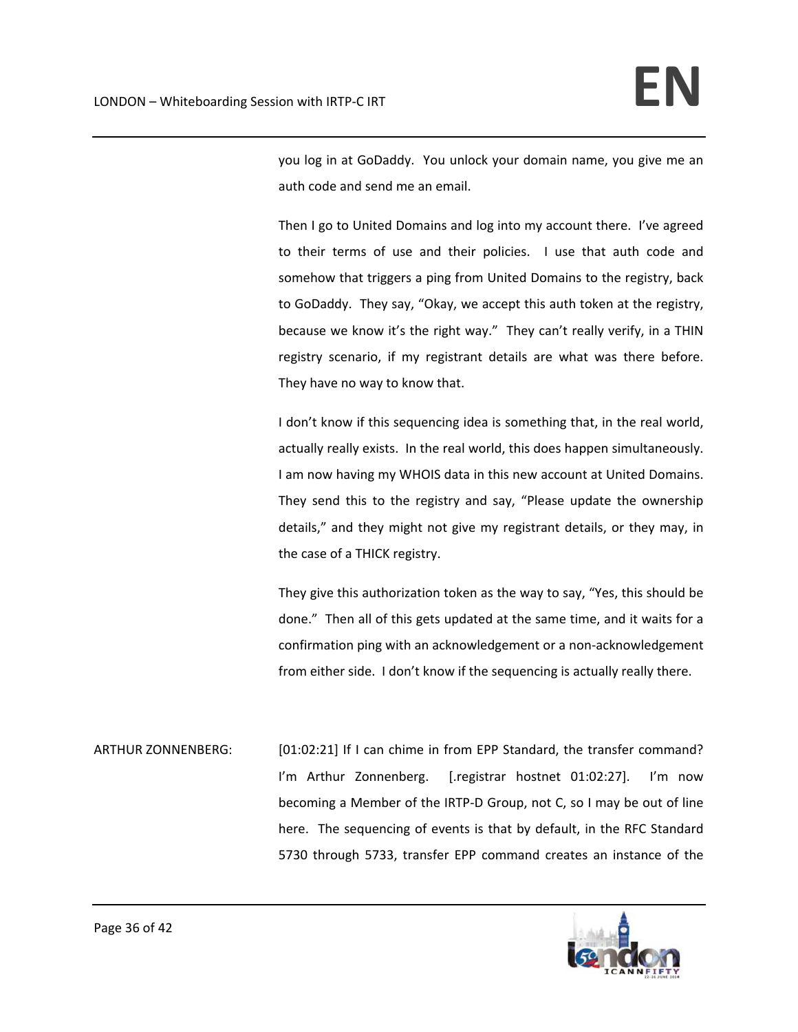you log in at GoDaddy. You unlock your domain name, you give me an auth code and send me an email.

Then I go to United Domains and log into my account there. I've agreed to their terms of use and their policies. I use that auth code and somehow that triggers a ping from United Domains to the registry, back to GoDaddy. They say, "Okay, we accept this auth token at the registry, because we know it's the right way." They can't really verify, in a THIN registry scenario, if my registrant details are what was there before. They have no way to know that.

I don't know if this sequencing idea is something that, in the real world, actually really exists. In the real world, this does happen simultaneously. I am now having my WHOIS data in this new account at United Domains. They send this to the registry and say, "Please update the ownership details," and they might not give my registrant details, or they may, in the case of a THICK registry.

They give this authorization token as the way to say, "Yes, this should be done." Then all of this gets updated at the same time, and it waits for a confirmation ping with an acknowledgement or a non‐acknowledgement from either side. I don't know if the sequencing is actually really there.

ARTHUR ZONNENBERG: [01:02:21] If I can chime in from EPP Standard, the transfer command? I'm Arthur Zonnenberg. [.registrar hostnet 01:02:27]. I'm now becoming a Member of the IRTP‐D Group, not C, so I may be out of line here. The sequencing of events is that by default, in the RFC Standard 5730 through 5733, transfer EPP command creates an instance of the

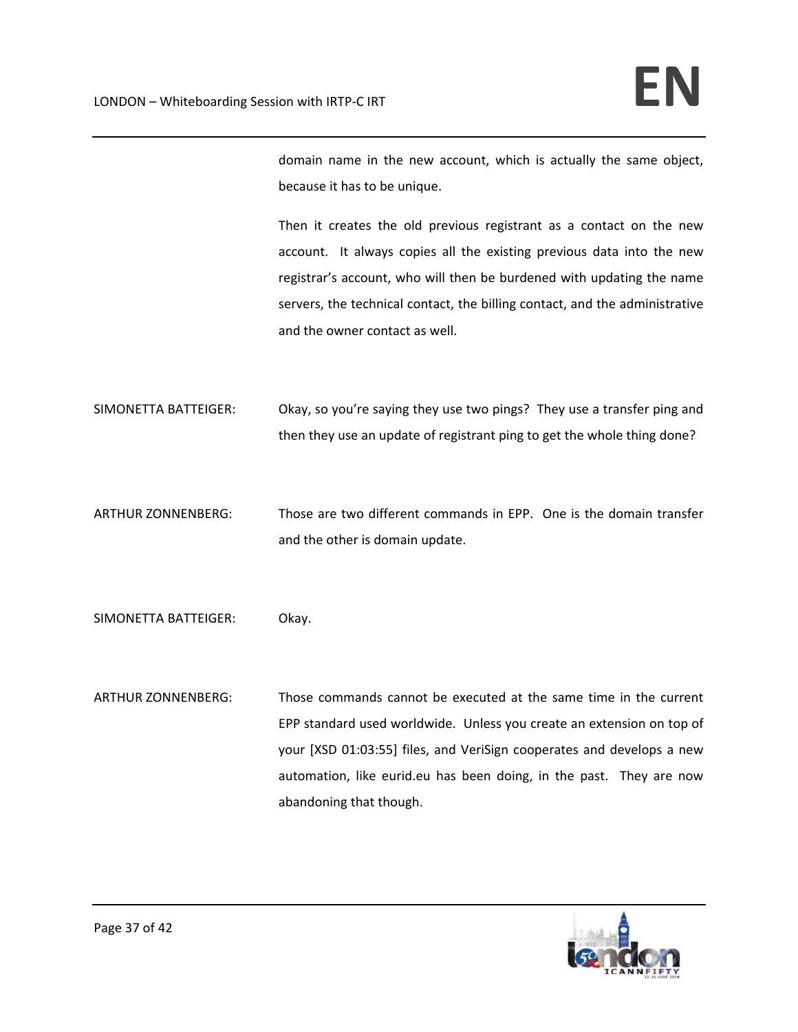domain name in the new account, which is actually the same object, because it has to be unique.

Then it creates the old previous registrant as a contact on the new account. It always copies all the existing previous data into the new registrar's account, who will then be burdened with updating the name servers, the technical contact, the billing contact, and the administrative and the owner contact as well.

- SIMONETTA BATTEIGER: Okay, so you're saying they use two pings? They use a transfer ping and then they use an update of registrant ping to get the whole thing done?
- ARTHUR ZONNENBERG: Those are two different commands in EPP. One is the domain transfer and the other is domain update.
- SIMONETTA BATTEIGER: Okay.
- ARTHUR ZONNENBERG: Those commands cannot be executed at the same time in the current EPP standard used worldwide. Unless you create an extension on top of your [XSD 01:03:55] files, and VeriSign cooperates and develops a new automation, like eurid.eu has been doing, in the past. They are now abandoning that though.

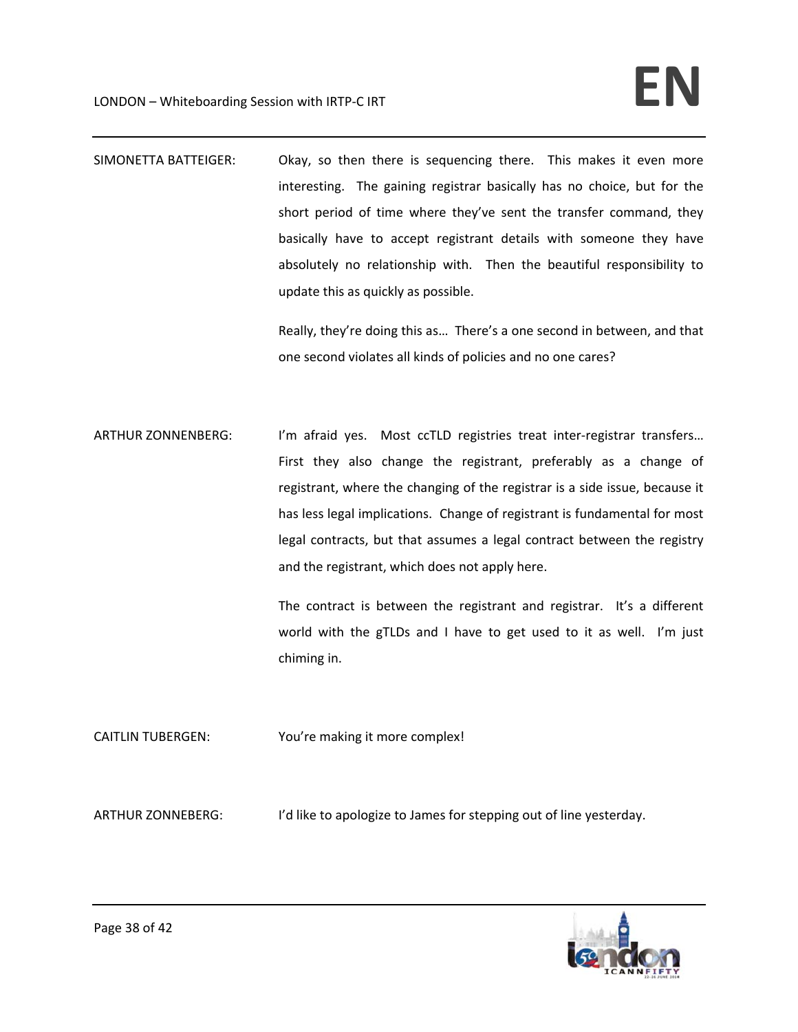SIMONETTA BATTEIGER: Okay, so then there is sequencing there. This makes it even more interesting. The gaining registrar basically has no choice, but for the short period of time where they've sent the transfer command, they basically have to accept registrant details with someone they have absolutely no relationship with. Then the beautiful responsibility to update this as quickly as possible.

> Really, they're doing this as… There's a one second in between, and that one second violates all kinds of policies and no one cares?

ARTHUR ZONNENBERG: I'm afraid yes. Most ccTLD registries treat inter-registrar transfers... First they also change the registrant, preferably as a change of registrant, where the changing of the registrar is a side issue, because it has less legal implications. Change of registrant is fundamental for most legal contracts, but that assumes a legal contract between the registry and the registrant, which does not apply here.

> The contract is between the registrant and registrar. It's a different world with the gTLDs and I have to get used to it as well. I'm just chiming in.

CAITLIN TUBERGEN: You're making it more complex!

ARTHUR ZONNEBERG: I'd like to apologize to James for stepping out of line yesterday.

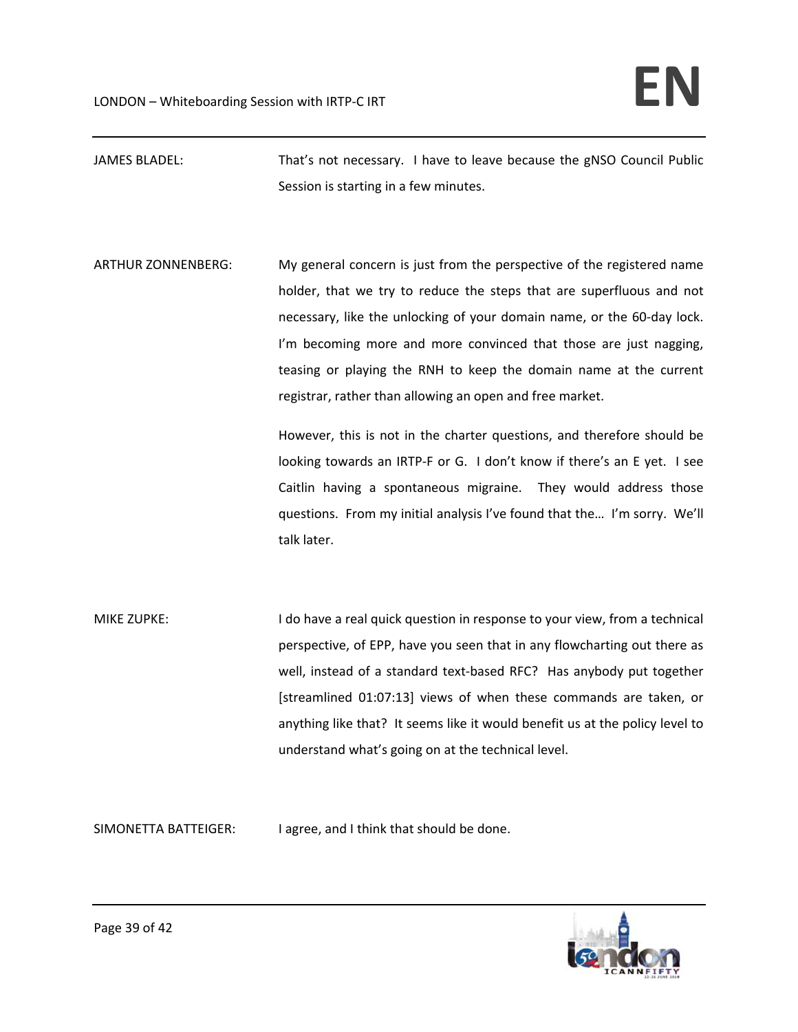JAMES BLADEL: That's not necessary. I have to leave because the gNSO Council Public Session is starting in a few minutes.

ARTHUR ZONNENBERG: My general concern is just from the perspective of the registered name holder, that we try to reduce the steps that are superfluous and not necessary, like the unlocking of your domain name, or the 60‐day lock. I'm becoming more and more convinced that those are just nagging, teasing or playing the RNH to keep the domain name at the current registrar, rather than allowing an open and free market.

> However, this is not in the charter questions, and therefore should be looking towards an IRTP‐F or G. I don't know if there's an E yet. I see Caitlin having a spontaneous migraine. They would address those questions. From my initial analysis I've found that the… I'm sorry. We'll talk later.

MIKE ZUPKE: I do have a real quick question in response to your view, from a technical perspective, of EPP, have you seen that in any flowcharting out there as well, instead of a standard text-based RFC? Has anybody put together [streamlined 01:07:13] views of when these commands are taken, or anything like that? It seems like it would benefit us at the policy level to understand what's going on at the technical level.

SIMONETTA BATTEIGER: I agree, and I think that should be done.

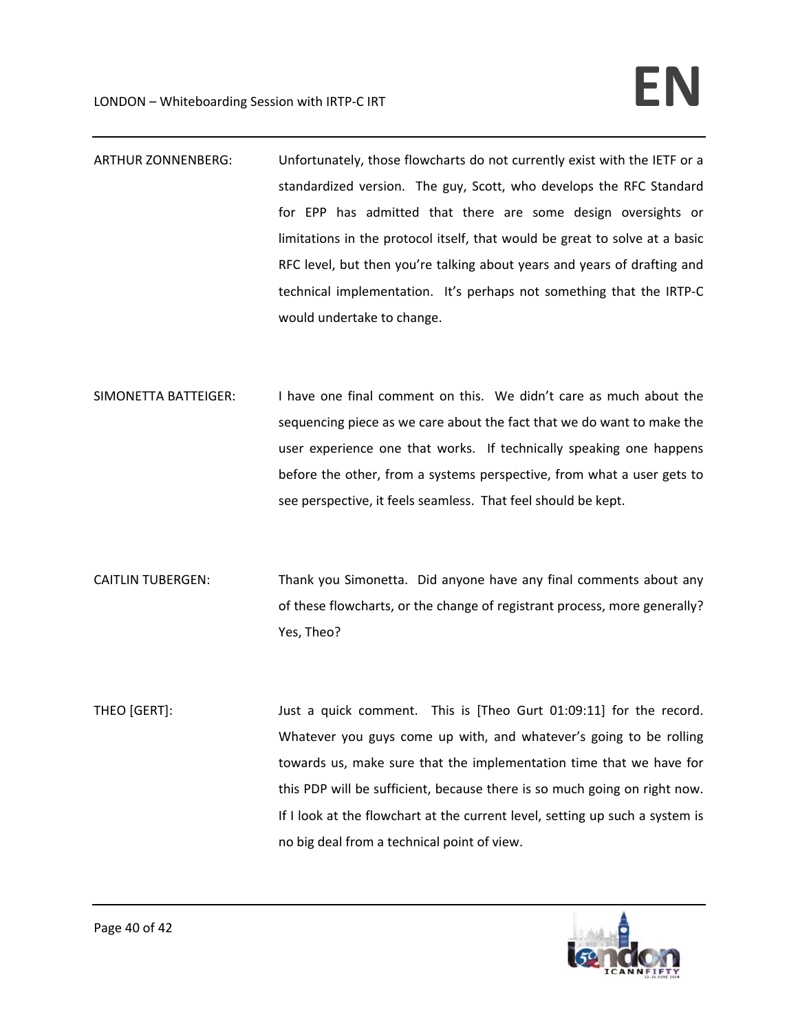- ARTHUR ZONNENBERG: Unfortunately, those flowcharts do not currently exist with the IETF or a standardized version. The guy, Scott, who develops the RFC Standard for EPP has admitted that there are some design oversights or limitations in the protocol itself, that would be great to solve at a basic RFC level, but then you're talking about years and years of drafting and technical implementation. It's perhaps not something that the IRTP‐C would undertake to change.
- SIMONETTA BATTEIGER: I have one final comment on this. We didn't care as much about the sequencing piece as we care about the fact that we do want to make the user experience one that works. If technically speaking one happens before the other, from a systems perspective, from what a user gets to see perspective, it feels seamless. That feel should be kept.
- CAITLIN TUBERGEN: Thank you Simonetta. Did anyone have any final comments about any of these flowcharts, or the change of registrant process, more generally? Yes, Theo?
- THEO [GERT]: Just a quick comment. This is [Theo Gurt 01:09:11] for the record. Whatever you guys come up with, and whatever's going to be rolling towards us, make sure that the implementation time that we have for this PDP will be sufficient, because there is so much going on right now. If I look at the flowchart at the current level, setting up such a system is no big deal from a technical point of view.

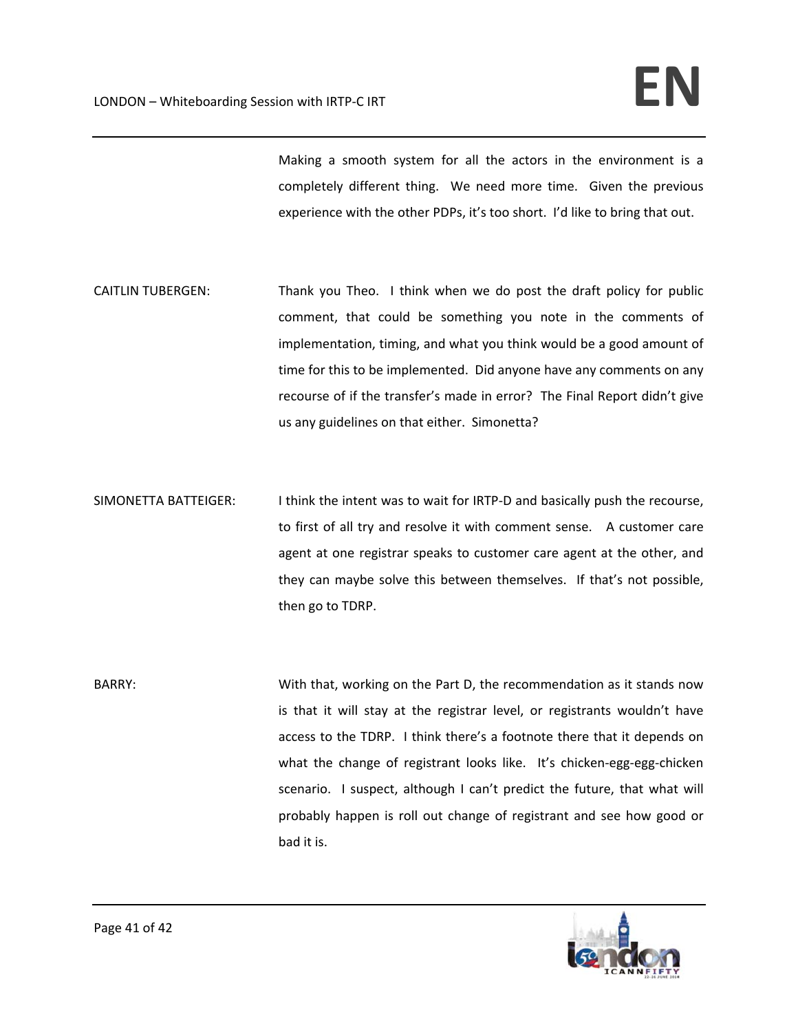Making a smooth system for all the actors in the environment is a completely different thing. We need more time. Given the previous experience with the other PDPs, it's too short. I'd like to bring that out.

- CAITLIN TUBERGEN: Thank you Theo. I think when we do post the draft policy for public comment, that could be something you note in the comments of implementation, timing, and what you think would be a good amount of time for this to be implemented. Did anyone have any comments on any recourse of if the transfer's made in error? The Final Report didn't give us any guidelines on that either. Simonetta?
- SIMONETTA BATTEIGER: I think the intent was to wait for IRTP-D and basically push the recourse, to first of all try and resolve it with comment sense. A customer care agent at one registrar speaks to customer care agent at the other, and they can maybe solve this between themselves. If that's not possible, then go to TDRP.
- BARRY: With that, working on the Part D, the recommendation as it stands now is that it will stay at the registrar level, or registrants wouldn't have access to the TDRP. I think there's a footnote there that it depends on what the change of registrant looks like. It's chicken-egg-egg-chicken scenario. I suspect, although I can't predict the future, that what will probably happen is roll out change of registrant and see how good or bad it is.